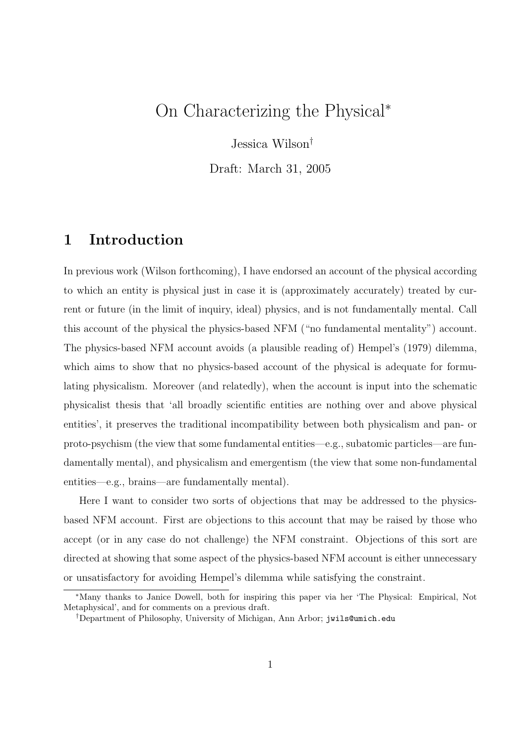## On Characterizing the Physical<sup>∗</sup>

Jessica Wilson†

Draft: March 31, 2005

### 1 Introduction

In previous work (Wilson forthcoming), I have endorsed an account of the physical according to which an entity is physical just in case it is (approximately accurately) treated by current or future (in the limit of inquiry, ideal) physics, and is not fundamentally mental. Call this account of the physical the physics-based NFM ("no fundamental mentality") account. The physics-based NFM account avoids (a plausible reading of) Hempel's (1979) dilemma, which aims to show that no physics-based account of the physical is adequate for formulating physicalism. Moreover (and relatedly), when the account is input into the schematic physicalist thesis that 'all broadly scientific entities are nothing over and above physical entities', it preserves the traditional incompatibility between both physicalism and pan- or proto-psychism (the view that some fundamental entities—e.g., subatomic particles—are fundamentally mental), and physicalism and emergentism (the view that some non-fundamental entities—e.g., brains—are fundamentally mental).

Here I want to consider two sorts of objections that may be addressed to the physicsbased NFM account. First are objections to this account that may be raised by those who accept (or in any case do not challenge) the NFM constraint. Objections of this sort are directed at showing that some aspect of the physics-based NFM account is either unnecessary or unsatisfactory for avoiding Hempel's dilemma while satisfying the constraint.

<sup>∗</sup>Many thanks to Janice Dowell, both for inspiring this paper via her 'The Physical: Empirical, Not Metaphysical', and for comments on a previous draft.

<sup>†</sup>Department of Philosophy, University of Michigan, Ann Arbor; jwils@umich.edu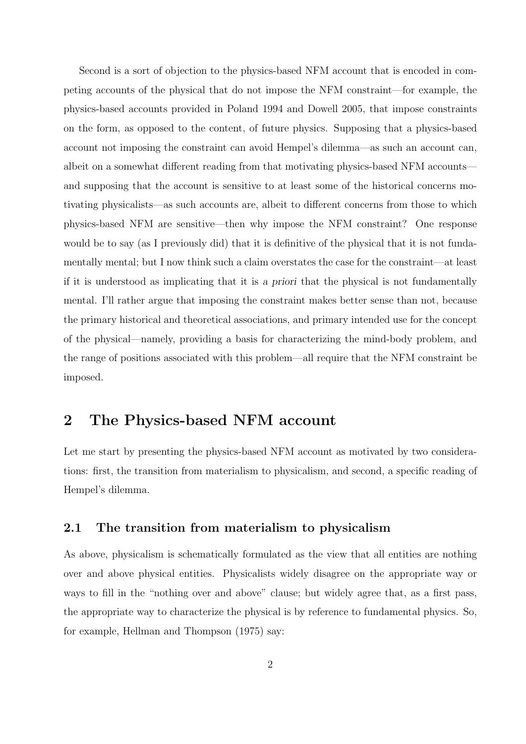Second is a sort of objection to the physics-based NFM account that is encoded in competing accounts of the physical that do not impose the NFM constraint—for example, the physics-based accounts provided in Poland 1994 and Dowell 2005, that impose constraints on the form, as opposed to the content, of future physics. Supposing that a physics-based account not imposing the constraint can avoid Hempel's dilemma—as such an account can, albeit on a somewhat different reading from that motivating physics-based NFM accounts and supposing that the account is sensitive to at least some of the historical concerns motivating physicalists—as such accounts are, albeit to different concerns from those to which physics-based NFM are sensitive—then why impose the NFM constraint? One response would be to say (as I previously did) that it is definitive of the physical that it is not fundamentally mental; but I now think such a claim overstates the case for the constraint—at least if it is understood as implicating that it is a priori that the physical is not fundamentally mental. I'll rather argue that imposing the constraint makes better sense than not, because the primary historical and theoretical associations, and primary intended use for the concept of the physical—namely, providing a basis for characterizing the mind-body problem, and the range of positions associated with this problem—all require that the NFM constraint be imposed.

### 2 The Physics-based NFM account

Let me start by presenting the physics-based NFM account as motivated by two considerations: first, the transition from materialism to physicalism, and second, a specific reading of Hempel's dilemma.

#### 2.1 The transition from materialism to physicalism

As above, physicalism is schematically formulated as the view that all entities are nothing over and above physical entities. Physicalists widely disagree on the appropriate way or ways to fill in the "nothing over and above" clause; but widely agree that, as a first pass, the appropriate way to characterize the physical is by reference to fundamental physics. So, for example, Hellman and Thompson (1975) say: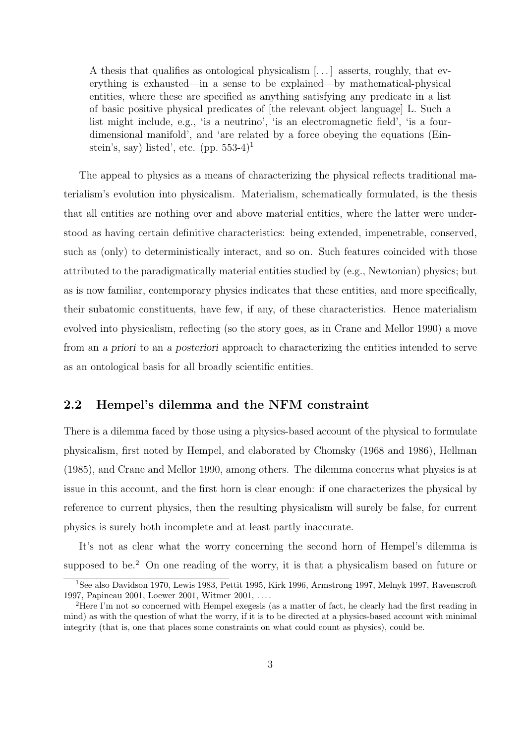A thesis that qualifies as ontological physicalism [. . . ] asserts, roughly, that everything is exhausted—in a sense to be explained—by mathematical-physical entities, where these are specified as anything satisfying any predicate in a list of basic positive physical predicates of [the relevant object language] L. Such a list might include, e.g., 'is a neutrino', 'is an electromagnetic field', 'is a fourdimensional manifold', and 'are related by a force obeying the equations (Einstein's, say) listed', etc. (pp.  $553-4$ )<sup>1</sup>

The appeal to physics as a means of characterizing the physical reflects traditional materialism's evolution into physicalism. Materialism, schematically formulated, is the thesis that all entities are nothing over and above material entities, where the latter were understood as having certain definitive characteristics: being extended, impenetrable, conserved, such as (only) to deterministically interact, and so on. Such features coincided with those attributed to the paradigmatically material entities studied by (e.g., Newtonian) physics; but as is now familiar, contemporary physics indicates that these entities, and more specifically, their subatomic constituents, have few, if any, of these characteristics. Hence materialism evolved into physicalism, reflecting (so the story goes, as in Crane and Mellor 1990) a move from an a priori to an a posteriori approach to characterizing the entities intended to serve as an ontological basis for all broadly scientific entities.

### 2.2 Hempel's dilemma and the NFM constraint

There is a dilemma faced by those using a physics-based account of the physical to formulate physicalism, first noted by Hempel, and elaborated by Chomsky (1968 and 1986), Hellman (1985), and Crane and Mellor 1990, among others. The dilemma concerns what physics is at issue in this account, and the first horn is clear enough: if one characterizes the physical by reference to current physics, then the resulting physicalism will surely be false, for current physics is surely both incomplete and at least partly inaccurate.

It's not as clear what the worry concerning the second horn of Hempel's dilemma is supposed to be.<sup>2</sup> On one reading of the worry, it is that a physicalism based on future or

<sup>1</sup>See also Davidson 1970, Lewis 1983, Pettit 1995, Kirk 1996, Armstrong 1997, Melnyk 1997, Ravenscroft 1997, Papineau 2001, Loewer 2001, Witmer 2001, . . . .

<sup>2</sup>Here I'm not so concerned with Hempel exegesis (as a matter of fact, he clearly had the first reading in mind) as with the question of what the worry, if it is to be directed at a physics-based account with minimal integrity (that is, one that places some constraints on what could count as physics), could be.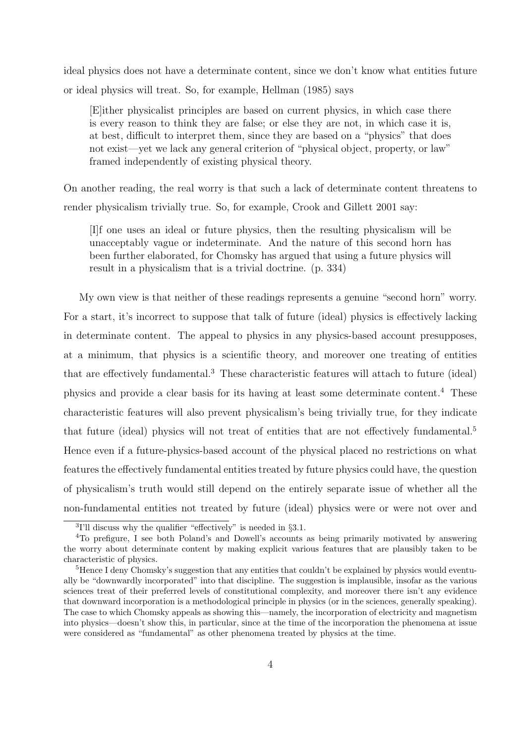ideal physics does not have a determinate content, since we don't know what entities future or ideal physics will treat. So, for example, Hellman (1985) says

[E]ither physicalist principles are based on current physics, in which case there is every reason to think they are false; or else they are not, in which case it is, at best, difficult to interpret them, since they are based on a "physics" that does not exist—yet we lack any general criterion of "physical object, property, or law" framed independently of existing physical theory.

On another reading, the real worry is that such a lack of determinate content threatens to render physicalism trivially true. So, for example, Crook and Gillett 2001 say:

[I]f one uses an ideal or future physics, then the resulting physicalism will be unacceptably vague or indeterminate. And the nature of this second horn has been further elaborated, for Chomsky has argued that using a future physics will result in a physicalism that is a trivial doctrine. (p. 334)

My own view is that neither of these readings represents a genuine "second horn" worry. For a start, it's incorrect to suppose that talk of future (ideal) physics is effectively lacking in determinate content. The appeal to physics in any physics-based account presupposes, at a minimum, that physics is a scientific theory, and moreover one treating of entities that are effectively fundamental.<sup>3</sup> These characteristic features will attach to future (ideal) physics and provide a clear basis for its having at least some determinate content.<sup>4</sup> These characteristic features will also prevent physicalism's being trivially true, for they indicate that future (ideal) physics will not treat of entities that are not effectively fundamental.<sup>5</sup> Hence even if a future-physics-based account of the physical placed no restrictions on what features the effectively fundamental entities treated by future physics could have, the question of physicalism's truth would still depend on the entirely separate issue of whether all the non-fundamental entities not treated by future (ideal) physics were or were not over and

<sup>&</sup>lt;sup>3</sup>I'll discuss why the qualifier "effectively" is needed in  $\S 3.1$ .

<sup>4</sup>To prefigure, I see both Poland's and Dowell's accounts as being primarily motivated by answering the worry about determinate content by making explicit various features that are plausibly taken to be characteristic of physics.

<sup>&</sup>lt;sup>5</sup>Hence I deny Chomsky's suggestion that any entities that couldn't be explained by physics would eventually be "downwardly incorporated" into that discipline. The suggestion is implausible, insofar as the various sciences treat of their preferred levels of constitutional complexity, and moreover there isn't any evidence that downward incorporation is a methodological principle in physics (or in the sciences, generally speaking). The case to which Chomsky appeals as showing this—namely, the incorporation of electricity and magnetism into physics—doesn't show this, in particular, since at the time of the incorporation the phenomena at issue were considered as "fundamental" as other phenomena treated by physics at the time.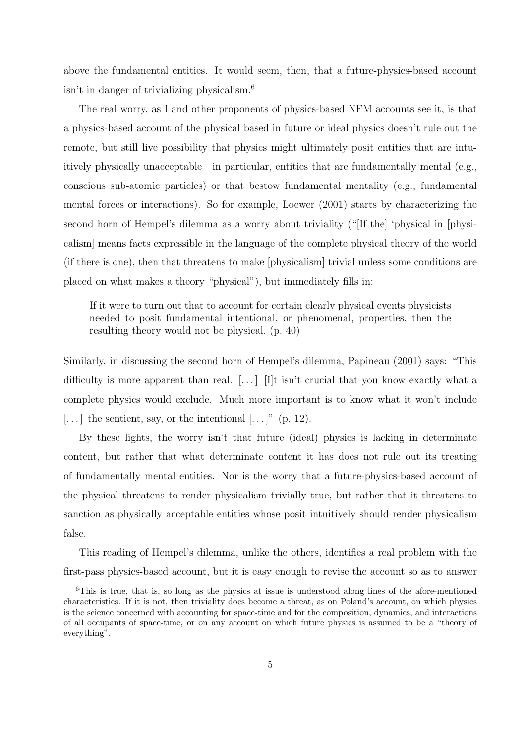above the fundamental entities. It would seem, then, that a future-physics-based account isn't in danger of trivializing physicalism.<sup>6</sup>

The real worry, as I and other proponents of physics-based NFM accounts see it, is that a physics-based account of the physical based in future or ideal physics doesn't rule out the remote, but still live possibility that physics might ultimately posit entities that are intuitively physically unacceptable—in particular, entities that are fundamentally mental (e.g., conscious sub-atomic particles) or that bestow fundamental mentality (e.g., fundamental mental forces or interactions). So for example, Loewer (2001) starts by characterizing the second horn of Hempel's dilemma as a worry about triviality ("[If the] 'physical in [physicalism] means facts expressible in the language of the complete physical theory of the world (if there is one), then that threatens to make [physicalism] trivial unless some conditions are placed on what makes a theory "physical"), but immediately fills in:

If it were to turn out that to account for certain clearly physical events physicists needed to posit fundamental intentional, or phenomenal, properties, then the resulting theory would not be physical. (p. 40)

Similarly, in discussing the second horn of Hempel's dilemma, Papineau (2001) says: "This difficulty is more apparent than real.  $[\ldots]$  [I]t isn't crucial that you know exactly what a complete physics would exclude. Much more important is to know what it won't include  $[\dots]$  the sentient, say, or the intentional  $[\dots]$ " (p. 12).

By these lights, the worry isn't that future (ideal) physics is lacking in determinate content, but rather that what determinate content it has does not rule out its treating of fundamentally mental entities. Nor is the worry that a future-physics-based account of the physical threatens to render physicalism trivially true, but rather that it threatens to sanction as physically acceptable entities whose posit intuitively should render physicalism false.

This reading of Hempel's dilemma, unlike the others, identifies a real problem with the first-pass physics-based account, but it is easy enough to revise the account so as to answer

<sup>6</sup>This is true, that is, so long as the physics at issue is understood along lines of the afore-mentioned characteristics. If it is not, then triviality does become a threat, as on Poland's account, on which physics is the science concerned with accounting for space-time and for the composition, dynamics, and interactions of all occupants of space-time, or on any account on which future physics is assumed to be a "theory of everything".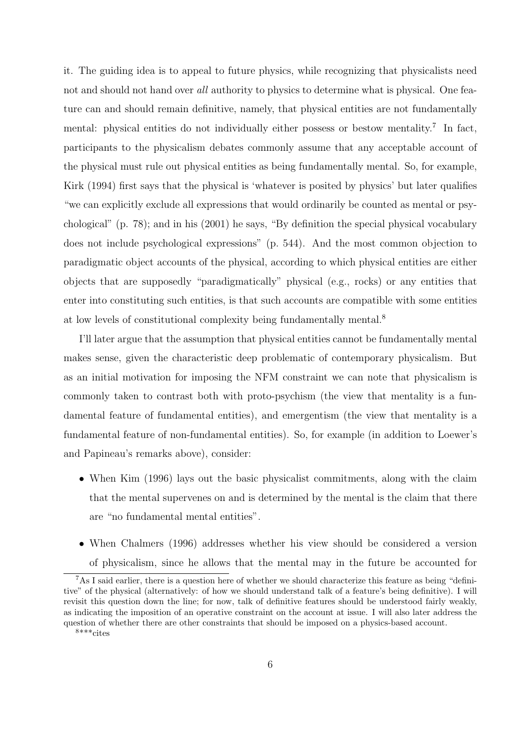it. The guiding idea is to appeal to future physics, while recognizing that physicalists need not and should not hand over all authority to physics to determine what is physical. One feature can and should remain definitive, namely, that physical entities are not fundamentally mental: physical entities do not individually either possess or bestow mentality.<sup>7</sup> In fact, participants to the physicalism debates commonly assume that any acceptable account of the physical must rule out physical entities as being fundamentally mental. So, for example, Kirk (1994) first says that the physical is 'whatever is posited by physics' but later qualifies "we can explicitly exclude all expressions that would ordinarily be counted as mental or psychological" (p. 78); and in his (2001) he says, "By definition the special physical vocabulary does not include psychological expressions" (p. 544). And the most common objection to paradigmatic object accounts of the physical, according to which physical entities are either objects that are supposedly "paradigmatically" physical (e.g., rocks) or any entities that enter into constituting such entities, is that such accounts are compatible with some entities at low levels of constitutional complexity being fundamentally mental.<sup>8</sup>

I'll later argue that the assumption that physical entities cannot be fundamentally mental makes sense, given the characteristic deep problematic of contemporary physicalism. But as an initial motivation for imposing the NFM constraint we can note that physicalism is commonly taken to contrast both with proto-psychism (the view that mentality is a fundamental feature of fundamental entities), and emergentism (the view that mentality is a fundamental feature of non-fundamental entities). So, for example (in addition to Loewer's and Papineau's remarks above), consider:

- When Kim (1996) lays out the basic physicalist commitments, along with the claim that the mental supervenes on and is determined by the mental is the claim that there are "no fundamental mental entities".
- When Chalmers (1996) addresses whether his view should be considered a version of physicalism, since he allows that the mental may in the future be accounted for

<sup>7</sup>As I said earlier, there is a question here of whether we should characterize this feature as being "definitive" of the physical (alternatively: of how we should understand talk of a feature's being definitive). I will revisit this question down the line; for now, talk of definitive features should be understood fairly weakly, as indicating the imposition of an operative constraint on the account at issue. I will also later address the question of whether there are other constraints that should be imposed on a physics-based account.

<sup>8</sup>\*\*\*cites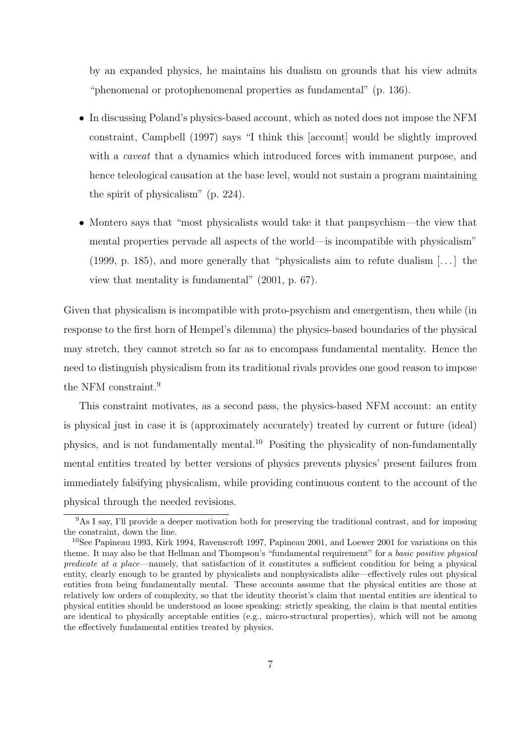by an expanded physics, he maintains his dualism on grounds that his view admits "phenomenal or protophenomenal properties as fundamental" (p. 136).

- In discussing Poland's physics-based account, which as noted does not impose the NFM constraint, Campbell (1997) says "I think this [account] would be slightly improved with a *caveat* that a dynamics which introduced forces with immanent purpose, and hence teleological causation at the base level, would not sustain a program maintaining the spirit of physicalism" (p. 224).
- Montero says that "most physicalists would take it that panpsychism—the view that mental properties pervade all aspects of the world—is incompatible with physicalism" (1999, p. 185), and more generally that "physicalists aim to refute dualism [. . . ] the view that mentality is fundamental" (2001, p. 67).

Given that physicalism is incompatible with proto-psychism and emergentism, then while (in response to the first horn of Hempel's dilemma) the physics-based boundaries of the physical may stretch, they cannot stretch so far as to encompass fundamental mentality. Hence the need to distinguish physicalism from its traditional rivals provides one good reason to impose the NFM constraint.<sup>9</sup>

This constraint motivates, as a second pass, the physics-based NFM account: an entity is physical just in case it is (approximately accurately) treated by current or future (ideal) physics, and is not fundamentally mental.<sup>10</sup> Positing the physicality of non-fundamentally mental entities treated by better versions of physics prevents physics' present failures from immediately falsifying physicalism, while providing continuous content to the account of the physical through the needed revisions.

<sup>9</sup>As I say, I'll provide a deeper motivation both for preserving the traditional contrast, and for imposing the constraint, down the line.

<sup>10</sup>See Papineau 1993, Kirk 1994, Ravenscroft 1997, Papineau 2001, and Loewer 2001 for variations on this theme. It may also be that Hellman and Thompson's "fundamental requirement" for a basic positive physical predicate at a place—namely, that satisfaction of it constitutes a sufficient condition for being a physical entity, clearly enough to be granted by physicalists and nonphysicalists alike—effectively rules out physical entities from being fundamentally mental. These accounts assume that the physical entities are those at relatively low orders of complexity, so that the identity theorist's claim that mental entities are identical to physical entities should be understood as loose speaking: strictly speaking, the claim is that mental entities are identical to physically acceptable entities (e.g., micro-structural properties), which will not be among the effectively fundamental entities treated by physics.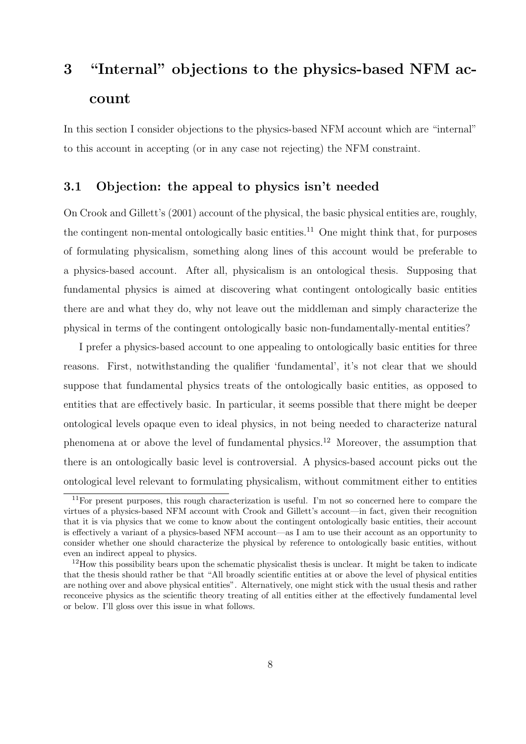# 3 "Internal" objections to the physics-based NFM account

In this section I consider objections to the physics-based NFM account which are "internal" to this account in accepting (or in any case not rejecting) the NFM constraint.

### 3.1 Objection: the appeal to physics isn't needed

On Crook and Gillett's (2001) account of the physical, the basic physical entities are, roughly, the contingent non-mental ontologically basic entities.<sup>11</sup> One might think that, for purposes of formulating physicalism, something along lines of this account would be preferable to a physics-based account. After all, physicalism is an ontological thesis. Supposing that fundamental physics is aimed at discovering what contingent ontologically basic entities there are and what they do, why not leave out the middleman and simply characterize the physical in terms of the contingent ontologically basic non-fundamentally-mental entities?

I prefer a physics-based account to one appealing to ontologically basic entities for three reasons. First, notwithstanding the qualifier 'fundamental', it's not clear that we should suppose that fundamental physics treats of the ontologically basic entities, as opposed to entities that are effectively basic. In particular, it seems possible that there might be deeper ontological levels opaque even to ideal physics, in not being needed to characterize natural phenomena at or above the level of fundamental physics.<sup>12</sup> Moreover, the assumption that there is an ontologically basic level is controversial. A physics-based account picks out the ontological level relevant to formulating physicalism, without commitment either to entities

 $11$ For present purposes, this rough characterization is useful. I'm not so concerned here to compare the virtues of a physics-based NFM account with Crook and Gillett's account—in fact, given their recognition that it is via physics that we come to know about the contingent ontologically basic entities, their account is effectively a variant of a physics-based NFM account—as I am to use their account as an opportunity to consider whether one should characterize the physical by reference to ontologically basic entities, without even an indirect appeal to physics.

<sup>&</sup>lt;sup>12</sup>How this possibility bears upon the schematic physicalist thesis is unclear. It might be taken to indicate that the thesis should rather be that "All broadly scientific entities at or above the level of physical entities are nothing over and above physical entities". Alternatively, one might stick with the usual thesis and rather reconceive physics as the scientific theory treating of all entities either at the effectively fundamental level or below. I'll gloss over this issue in what follows.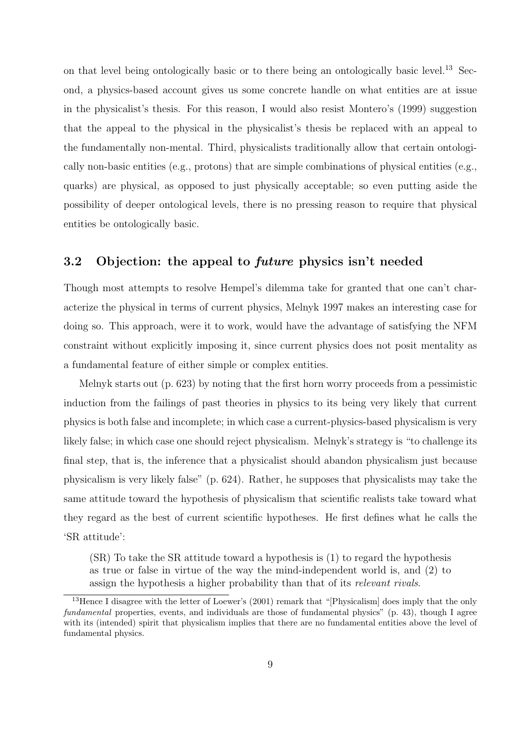on that level being ontologically basic or to there being an ontologically basic level.<sup>13</sup> Second, a physics-based account gives us some concrete handle on what entities are at issue in the physicalist's thesis. For this reason, I would also resist Montero's (1999) suggestion that the appeal to the physical in the physicalist's thesis be replaced with an appeal to the fundamentally non-mental. Third, physicalists traditionally allow that certain ontologically non-basic entities (e.g., protons) that are simple combinations of physical entities (e.g., quarks) are physical, as opposed to just physically acceptable; so even putting aside the possibility of deeper ontological levels, there is no pressing reason to require that physical entities be ontologically basic.

### 3.2 Objection: the appeal to future physics isn't needed

Though most attempts to resolve Hempel's dilemma take for granted that one can't characterize the physical in terms of current physics, Melnyk 1997 makes an interesting case for doing so. This approach, were it to work, would have the advantage of satisfying the NFM constraint without explicitly imposing it, since current physics does not posit mentality as a fundamental feature of either simple or complex entities.

Melnyk starts out (p. 623) by noting that the first horn worry proceeds from a pessimistic induction from the failings of past theories in physics to its being very likely that current physics is both false and incomplete; in which case a current-physics-based physicalism is very likely false; in which case one should reject physicalism. Melnyk's strategy is "to challenge its final step, that is, the inference that a physicalist should abandon physicalism just because physicalism is very likely false" (p. 624). Rather, he supposes that physicalists may take the same attitude toward the hypothesis of physicalism that scientific realists take toward what they regard as the best of current scientific hypotheses. He first defines what he calls the 'SR attitude':

(SR) To take the SR attitude toward a hypothesis is (1) to regard the hypothesis as true or false in virtue of the way the mind-independent world is, and (2) to assign the hypothesis a higher probability than that of its relevant rivals.

<sup>&</sup>lt;sup>13</sup>Hence I disagree with the letter of Loewer's (2001) remark that "[Physicalism] does imply that the only fundamental properties, events, and individuals are those of fundamental physics" (p. 43), though I agree with its (intended) spirit that physicalism implies that there are no fundamental entities above the level of fundamental physics.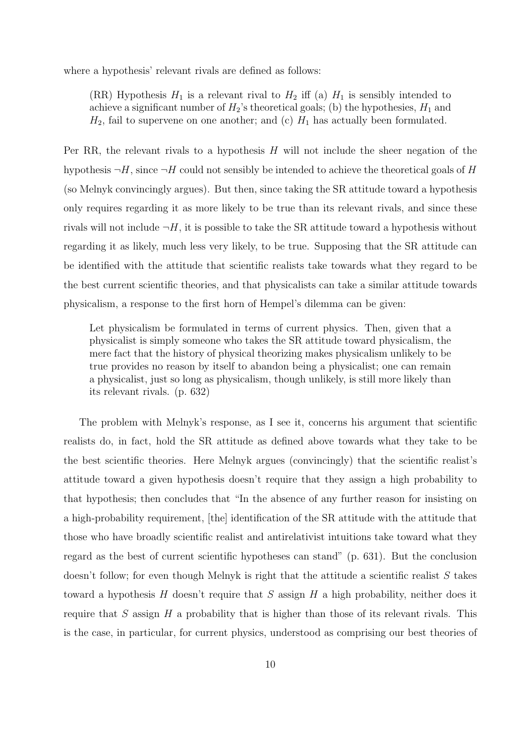where a hypothesis' relevant rivals are defined as follows:

(RR) Hypothesis  $H_1$  is a relevant rival to  $H_2$  iff (a)  $H_1$  is sensibly intended to achieve a significant number of  $H_2$ 's theoretical goals; (b) the hypothesies,  $H_1$  and  $H_2$ , fail to supervene on one another; and (c)  $H_1$  has actually been formulated.

Per RR, the relevant rivals to a hypothesis  $H$  will not include the sheer negation of the hypothesis  $\neg H$ , since  $\neg H$  could not sensibly be intended to achieve the theoretical goals of H (so Melnyk convincingly argues). But then, since taking the SR attitude toward a hypothesis only requires regarding it as more likely to be true than its relevant rivals, and since these rivals will not include  $\neg H$ , it is possible to take the SR attitude toward a hypothesis without regarding it as likely, much less very likely, to be true. Supposing that the SR attitude can be identified with the attitude that scientific realists take towards what they regard to be the best current scientific theories, and that physicalists can take a similar attitude towards physicalism, a response to the first horn of Hempel's dilemma can be given:

Let physicalism be formulated in terms of current physics. Then, given that a physicalist is simply someone who takes the SR attitude toward physicalism, the mere fact that the history of physical theorizing makes physicalism unlikely to be true provides no reason by itself to abandon being a physicalist; one can remain a physicalist, just so long as physicalism, though unlikely, is still more likely than its relevant rivals. (p. 632)

The problem with Melnyk's response, as I see it, concerns his argument that scientific realists do, in fact, hold the SR attitude as defined above towards what they take to be the best scientific theories. Here Melnyk argues (convincingly) that the scientific realist's attitude toward a given hypothesis doesn't require that they assign a high probability to that hypothesis; then concludes that "In the absence of any further reason for insisting on a high-probability requirement, [the] identification of the SR attitude with the attitude that those who have broadly scientific realist and antirelativist intuitions take toward what they regard as the best of current scientific hypotheses can stand" (p. 631). But the conclusion doesn't follow; for even though Melnyk is right that the attitude a scientific realist  $S$  takes toward a hypothesis H doesn't require that S assign H a high probability, neither does it require that S assign  $H$  a probability that is higher than those of its relevant rivals. This is the case, in particular, for current physics, understood as comprising our best theories of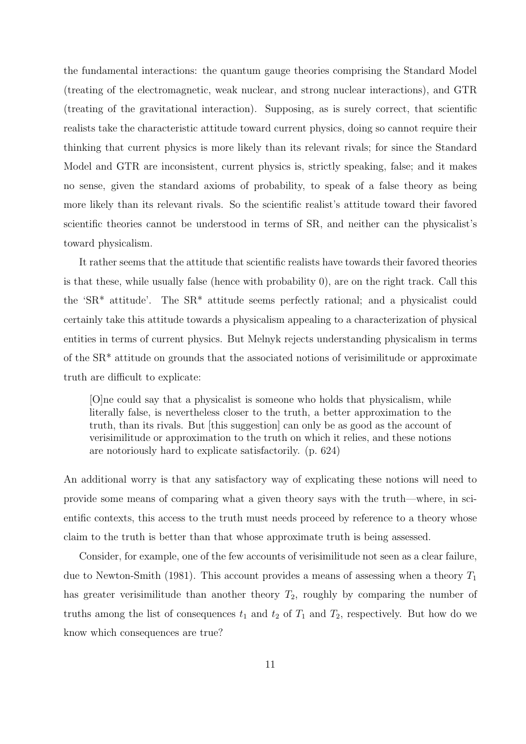the fundamental interactions: the quantum gauge theories comprising the Standard Model (treating of the electromagnetic, weak nuclear, and strong nuclear interactions), and GTR (treating of the gravitational interaction). Supposing, as is surely correct, that scientific realists take the characteristic attitude toward current physics, doing so cannot require their thinking that current physics is more likely than its relevant rivals; for since the Standard Model and GTR are inconsistent, current physics is, strictly speaking, false; and it makes no sense, given the standard axioms of probability, to speak of a false theory as being more likely than its relevant rivals. So the scientific realist's attitude toward their favored scientific theories cannot be understood in terms of SR, and neither can the physicalist's toward physicalism.

It rather seems that the attitude that scientific realists have towards their favored theories is that these, while usually false (hence with probability 0), are on the right track. Call this the 'SR\* attitude'. The SR\* attitude seems perfectly rational; and a physicalist could certainly take this attitude towards a physicalism appealing to a characterization of physical entities in terms of current physics. But Melnyk rejects understanding physicalism in terms of the SR\* attitude on grounds that the associated notions of verisimilitude or approximate truth are difficult to explicate:

[O]ne could say that a physicalist is someone who holds that physicalism, while literally false, is nevertheless closer to the truth, a better approximation to the truth, than its rivals. But [this suggestion] can only be as good as the account of verisimilitude or approximation to the truth on which it relies, and these notions are notoriously hard to explicate satisfactorily. (p. 624)

An additional worry is that any satisfactory way of explicating these notions will need to provide some means of comparing what a given theory says with the truth—where, in scientific contexts, this access to the truth must needs proceed by reference to a theory whose claim to the truth is better than that whose approximate truth is being assessed.

Consider, for example, one of the few accounts of verisimilitude not seen as a clear failure, due to Newton-Smith (1981). This account provides a means of assessing when a theory  $T_1$ has greater verisimilitude than another theory  $T_2$ , roughly by comparing the number of truths among the list of consequences  $t_1$  and  $t_2$  of  $T_1$  and  $T_2$ , respectively. But how do we know which consequences are true?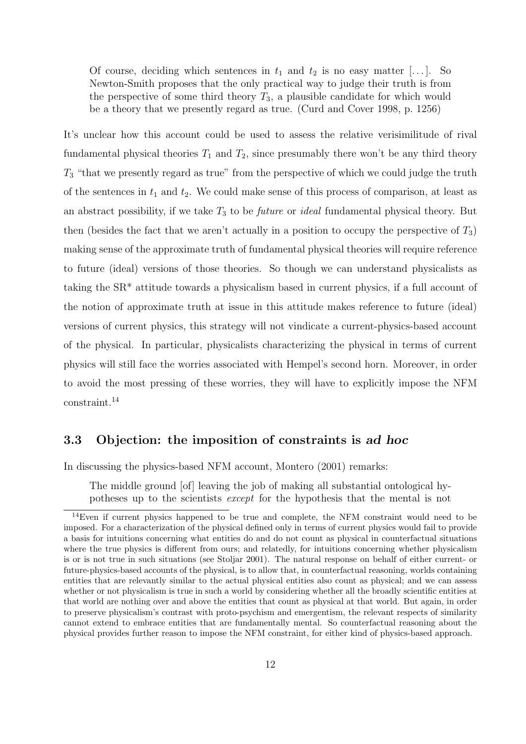Of course, deciding which sentences in  $t_1$  and  $t_2$  is no easy matter [...]. So Newton-Smith proposes that the only practical way to judge their truth is from the perspective of some third theory  $T_3$ , a plausible candidate for which would be a theory that we presently regard as true. (Curd and Cover 1998, p. 1256)

It's unclear how this account could be used to assess the relative verisimilitude of rival fundamental physical theories  $T_1$  and  $T_2$ , since presumably there won't be any third theory  $T_3$  "that we presently regard as true" from the perspective of which we could judge the truth of the sentences in  $t_1$  and  $t_2$ . We could make sense of this process of comparison, at least as an abstract possibility, if we take  $T_3$  to be *future* or *ideal* fundamental physical theory. But then (besides the fact that we aren't actually in a position to occupy the perspective of  $T_3$ ) making sense of the approximate truth of fundamental physical theories will require reference to future (ideal) versions of those theories. So though we can understand physicalists as taking the SR\* attitude towards a physicalism based in current physics, if a full account of the notion of approximate truth at issue in this attitude makes reference to future (ideal) versions of current physics, this strategy will not vindicate a current-physics-based account of the physical. In particular, physicalists characterizing the physical in terms of current physics will still face the worries associated with Hempel's second horn. Moreover, in order to avoid the most pressing of these worries, they will have to explicitly impose the NFM constraint.<sup>14</sup>

### 3.3 Objection: the imposition of constraints is ad hoc

In discussing the physics-based NFM account, Montero (2001) remarks:

The middle ground [of] leaving the job of making all substantial ontological hypotheses up to the scientists except for the hypothesis that the mental is not

<sup>&</sup>lt;sup>14</sup>Even if current physics happened to be true and complete, the NFM constraint would need to be imposed. For a characterization of the physical defined only in terms of current physics would fail to provide a basis for intuitions concerning what entities do and do not count as physical in counterfactual situations where the true physics is different from ours; and relatedly, for intuitions concerning whether physicalism is or is not true in such situations (see Stoljar 2001). The natural response on behalf of either current- or future-physics-based accounts of the physical, is to allow that, in counterfactual reasoning, worlds containing entities that are relevantly similar to the actual physical entities also count as physical; and we can assess whether or not physicalism is true in such a world by considering whether all the broadly scientific entities at that world are nothing over and above the entities that count as physical at that world. But again, in order to preserve physicalism's contrast with proto-psychism and emergentism, the relevant respects of similarity cannot extend to embrace entities that are fundamentally mental. So counterfactual reasoning about the physical provides further reason to impose the NFM constraint, for either kind of physics-based approach.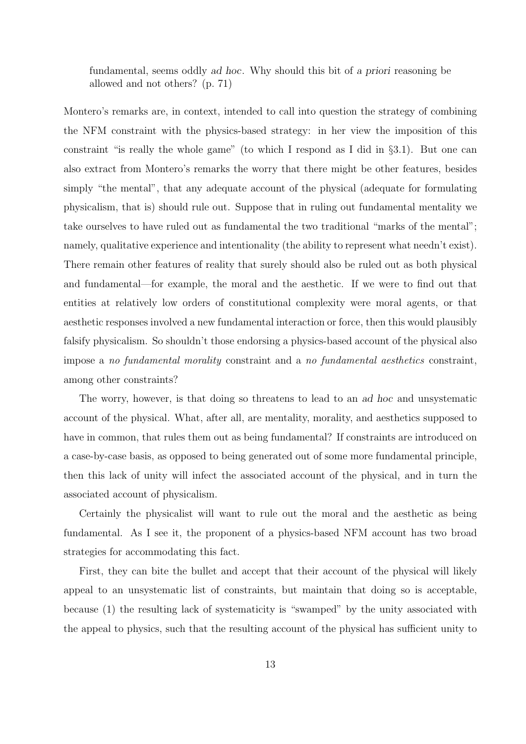fundamental, seems oddly ad hoc. Why should this bit of a priori reasoning be allowed and not others? (p. 71)

Montero's remarks are, in context, intended to call into question the strategy of combining the NFM constraint with the physics-based strategy: in her view the imposition of this constraint "is really the whole game" (to which I respond as I did in §3.1). But one can also extract from Montero's remarks the worry that there might be other features, besides simply "the mental", that any adequate account of the physical (adequate for formulating physicalism, that is) should rule out. Suppose that in ruling out fundamental mentality we take ourselves to have ruled out as fundamental the two traditional "marks of the mental"; namely, qualitative experience and intentionality (the ability to represent what needn't exist). There remain other features of reality that surely should also be ruled out as both physical and fundamental—for example, the moral and the aesthetic. If we were to find out that entities at relatively low orders of constitutional complexity were moral agents, or that aesthetic responses involved a new fundamental interaction or force, then this would plausibly falsify physicalism. So shouldn't those endorsing a physics-based account of the physical also impose a no fundamental morality constraint and a no fundamental aesthetics constraint, among other constraints?

The worry, however, is that doing so threatens to lead to an ad hoc and unsystematic account of the physical. What, after all, are mentality, morality, and aesthetics supposed to have in common, that rules them out as being fundamental? If constraints are introduced on a case-by-case basis, as opposed to being generated out of some more fundamental principle, then this lack of unity will infect the associated account of the physical, and in turn the associated account of physicalism.

Certainly the physicalist will want to rule out the moral and the aesthetic as being fundamental. As I see it, the proponent of a physics-based NFM account has two broad strategies for accommodating this fact.

First, they can bite the bullet and accept that their account of the physical will likely appeal to an unsystematic list of constraints, but maintain that doing so is acceptable, because (1) the resulting lack of systematicity is "swamped" by the unity associated with the appeal to physics, such that the resulting account of the physical has sufficient unity to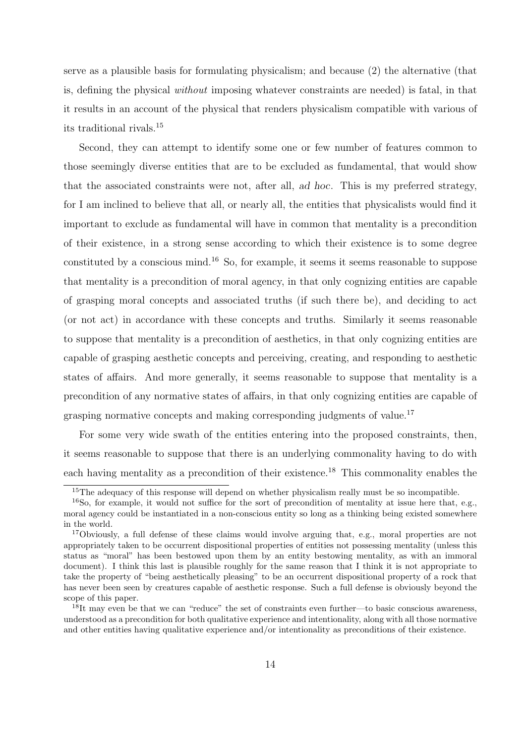serve as a plausible basis for formulating physicalism; and because (2) the alternative (that is, defining the physical without imposing whatever constraints are needed) is fatal, in that it results in an account of the physical that renders physicalism compatible with various of its traditional rivals.<sup>15</sup>

Second, they can attempt to identify some one or few number of features common to those seemingly diverse entities that are to be excluded as fundamental, that would show that the associated constraints were not, after all, ad hoc. This is my preferred strategy, for I am inclined to believe that all, or nearly all, the entities that physicalists would find it important to exclude as fundamental will have in common that mentality is a precondition of their existence, in a strong sense according to which their existence is to some degree constituted by a conscious mind.<sup>16</sup> So, for example, it seems it seems reasonable to suppose that mentality is a precondition of moral agency, in that only cognizing entities are capable of grasping moral concepts and associated truths (if such there be), and deciding to act (or not act) in accordance with these concepts and truths. Similarly it seems reasonable to suppose that mentality is a precondition of aesthetics, in that only cognizing entities are capable of grasping aesthetic concepts and perceiving, creating, and responding to aesthetic states of affairs. And more generally, it seems reasonable to suppose that mentality is a precondition of any normative states of affairs, in that only cognizing entities are capable of grasping normative concepts and making corresponding judgments of value.<sup>17</sup>

For some very wide swath of the entities entering into the proposed constraints, then, it seems reasonable to suppose that there is an underlying commonality having to do with each having mentality as a precondition of their existence.<sup>18</sup> This commonality enables the

<sup>&</sup>lt;sup>15</sup>The adequacy of this response will depend on whether physicalism really must be so incompatible.

<sup>&</sup>lt;sup>16</sup>So, for example, it would not suffice for the sort of precondition of mentality at issue here that, e.g., moral agency could be instantiated in a non-conscious entity so long as a thinking being existed somewhere in the world.

<sup>&</sup>lt;sup>17</sup>Obviously, a full defense of these claims would involve arguing that, e.g., moral properties are not appropriately taken to be occurrent dispositional properties of entities not possessing mentality (unless this status as "moral" has been bestowed upon them by an entity bestowing mentality, as with an immoral document). I think this last is plausible roughly for the same reason that I think it is not appropriate to take the property of "being aesthetically pleasing" to be an occurrent dispositional property of a rock that has never been seen by creatures capable of aesthetic response. Such a full defense is obviously beyond the scope of this paper.

<sup>18</sup>It may even be that we can "reduce" the set of constraints even further—to basic conscious awareness, understood as a precondition for both qualitative experience and intentionality, along with all those normative and other entities having qualitative experience and/or intentionality as preconditions of their existence.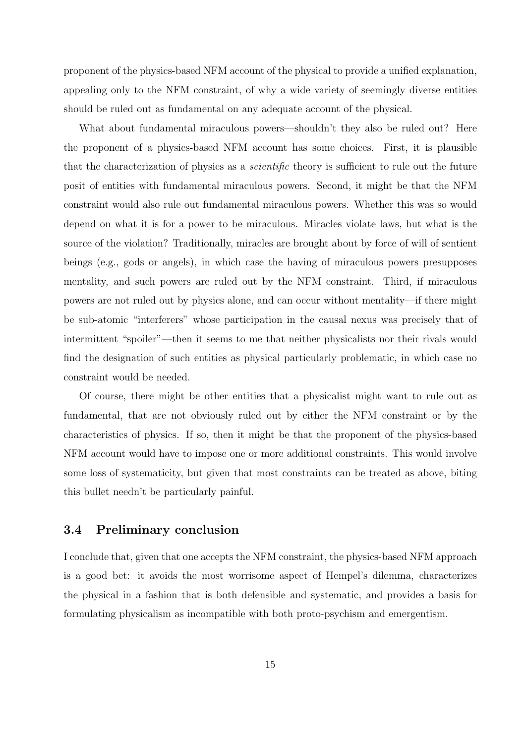proponent of the physics-based NFM account of the physical to provide a unified explanation, appealing only to the NFM constraint, of why a wide variety of seemingly diverse entities should be ruled out as fundamental on any adequate account of the physical.

What about fundamental miraculous powers—shouldn't they also be ruled out? Here the proponent of a physics-based NFM account has some choices. First, it is plausible that the characterization of physics as a scientific theory is sufficient to rule out the future posit of entities with fundamental miraculous powers. Second, it might be that the NFM constraint would also rule out fundamental miraculous powers. Whether this was so would depend on what it is for a power to be miraculous. Miracles violate laws, but what is the source of the violation? Traditionally, miracles are brought about by force of will of sentient beings (e.g., gods or angels), in which case the having of miraculous powers presupposes mentality, and such powers are ruled out by the NFM constraint. Third, if miraculous powers are not ruled out by physics alone, and can occur without mentality—if there might be sub-atomic "interferers" whose participation in the causal nexus was precisely that of intermittent "spoiler"—then it seems to me that neither physicalists nor their rivals would find the designation of such entities as physical particularly problematic, in which case no constraint would be needed.

Of course, there might be other entities that a physicalist might want to rule out as fundamental, that are not obviously ruled out by either the NFM constraint or by the characteristics of physics. If so, then it might be that the proponent of the physics-based NFM account would have to impose one or more additional constraints. This would involve some loss of systematicity, but given that most constraints can be treated as above, biting this bullet needn't be particularly painful.

### 3.4 Preliminary conclusion

I conclude that, given that one accepts the NFM constraint, the physics-based NFM approach is a good bet: it avoids the most worrisome aspect of Hempel's dilemma, characterizes the physical in a fashion that is both defensible and systematic, and provides a basis for formulating physicalism as incompatible with both proto-psychism and emergentism.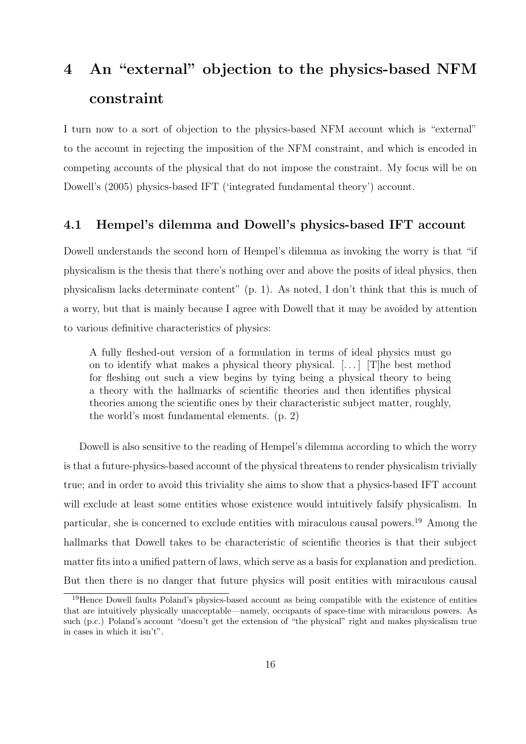## 4 An "external" objection to the physics-based NFM constraint

I turn now to a sort of objection to the physics-based NFM account which is "external" to the account in rejecting the imposition of the NFM constraint, and which is encoded in competing accounts of the physical that do not impose the constraint. My focus will be on Dowell's (2005) physics-based IFT ('integrated fundamental theory') account.

### 4.1 Hempel's dilemma and Dowell's physics-based IFT account

Dowell understands the second horn of Hempel's dilemma as invoking the worry is that "if physicalism is the thesis that there's nothing over and above the posits of ideal physics, then physicalism lacks determinate content" (p. 1). As noted, I don't think that this is much of a worry, but that is mainly because I agree with Dowell that it may be avoided by attention to various definitive characteristics of physics:

A fully fleshed-out version of a formulation in terms of ideal physics must go on to identify what makes a physical theory physical.  $[\ldots]$  [T]he best method for fleshing out such a view begins by tying being a physical theory to being a theory with the hallmarks of scientific theories and then identifies physical theories among the scientific ones by their characteristic subject matter, roughly, the world's most fundamental elements. (p. 2)

Dowell is also sensitive to the reading of Hempel's dilemma according to which the worry is that a future-physics-based account of the physical threatens to render physicalism trivially true; and in order to avoid this triviality she aims to show that a physics-based IFT account will exclude at least some entities whose existence would intuitively falsify physicalism. In particular, she is concerned to exclude entities with miraculous causal powers.<sup>19</sup> Among the hallmarks that Dowell takes to be characteristic of scientific theories is that their subject matter fits into a unified pattern of laws, which serve as a basis for explanation and prediction. But then there is no danger that future physics will posit entities with miraculous causal

<sup>19</sup>Hence Dowell faults Poland's physics-based account as being compatible with the existence of entities that are intuitively physically unacceptable—namely, occupants of space-time with miraculous powers. As such (p.c.) Poland's account "doesn't get the extension of "the physical" right and makes physicalism true in cases in which it isn't".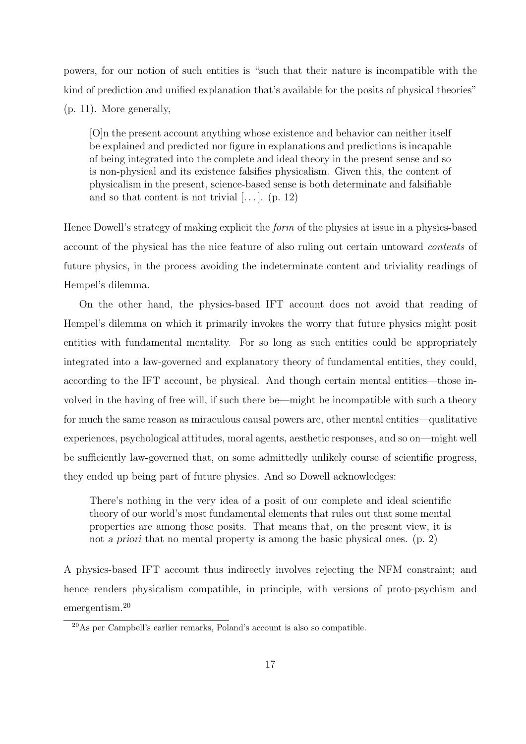powers, for our notion of such entities is "such that their nature is incompatible with the kind of prediction and unified explanation that's available for the posits of physical theories" (p. 11). More generally,

[O]n the present account anything whose existence and behavior can neither itself be explained and predicted nor figure in explanations and predictions is incapable of being integrated into the complete and ideal theory in the present sense and so is non-physical and its existence falsifies physicalism. Given this, the content of physicalism in the present, science-based sense is both determinate and falsifiable and so that content is not trivial  $[\dots]$ . (p. 12)

Hence Dowell's strategy of making explicit the form of the physics at issue in a physics-based account of the physical has the nice feature of also ruling out certain untoward contents of future physics, in the process avoiding the indeterminate content and triviality readings of Hempel's dilemma.

On the other hand, the physics-based IFT account does not avoid that reading of Hempel's dilemma on which it primarily invokes the worry that future physics might posit entities with fundamental mentality. For so long as such entities could be appropriately integrated into a law-governed and explanatory theory of fundamental entities, they could, according to the IFT account, be physical. And though certain mental entities—those involved in the having of free will, if such there be—might be incompatible with such a theory for much the same reason as miraculous causal powers are, other mental entities—qualitative experiences, psychological attitudes, moral agents, aesthetic responses, and so on—might well be sufficiently law-governed that, on some admittedly unlikely course of scientific progress, they ended up being part of future physics. And so Dowell acknowledges:

There's nothing in the very idea of a posit of our complete and ideal scientific theory of our world's most fundamental elements that rules out that some mental properties are among those posits. That means that, on the present view, it is not a priori that no mental property is among the basic physical ones. (p. 2)

A physics-based IFT account thus indirectly involves rejecting the NFM constraint; and hence renders physicalism compatible, in principle, with versions of proto-psychism and emergentism.<sup>20</sup>

<sup>20</sup>As per Campbell's earlier remarks, Poland's account is also so compatible.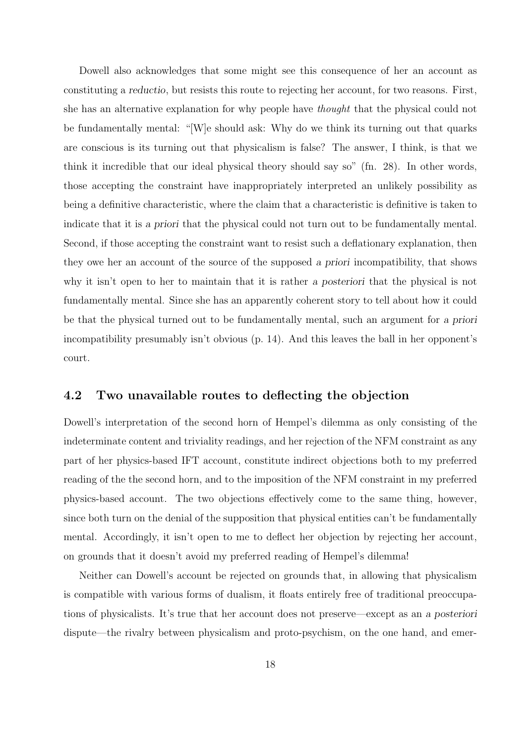Dowell also acknowledges that some might see this consequence of her an account as constituting a reductio, but resists this route to rejecting her account, for two reasons. First, she has an alternative explanation for why people have thought that the physical could not be fundamentally mental: "[W]e should ask: Why do we think its turning out that quarks are conscious is its turning out that physicalism is false? The answer, I think, is that we think it incredible that our ideal physical theory should say so" (fn. 28). In other words, those accepting the constraint have inappropriately interpreted an unlikely possibility as being a definitive characteristic, where the claim that a characteristic is definitive is taken to indicate that it is a priori that the physical could not turn out to be fundamentally mental. Second, if those accepting the constraint want to resist such a deflationary explanation, then they owe her an account of the source of the supposed a priori incompatibility, that shows why it isn't open to her to maintain that it is rather a posteriori that the physical is not fundamentally mental. Since she has an apparently coherent story to tell about how it could be that the physical turned out to be fundamentally mental, such an argument for a priori incompatibility presumably isn't obvious (p. 14). And this leaves the ball in her opponent's court.

### 4.2 Two unavailable routes to deflecting the objection

Dowell's interpretation of the second horn of Hempel's dilemma as only consisting of the indeterminate content and triviality readings, and her rejection of the NFM constraint as any part of her physics-based IFT account, constitute indirect objections both to my preferred reading of the the second horn, and to the imposition of the NFM constraint in my preferred physics-based account. The two objections effectively come to the same thing, however, since both turn on the denial of the supposition that physical entities can't be fundamentally mental. Accordingly, it isn't open to me to deflect her objection by rejecting her account, on grounds that it doesn't avoid my preferred reading of Hempel's dilemma!

Neither can Dowell's account be rejected on grounds that, in allowing that physicalism is compatible with various forms of dualism, it floats entirely free of traditional preoccupations of physicalists. It's true that her account does not preserve—except as an a posteriori dispute—the rivalry between physicalism and proto-psychism, on the one hand, and emer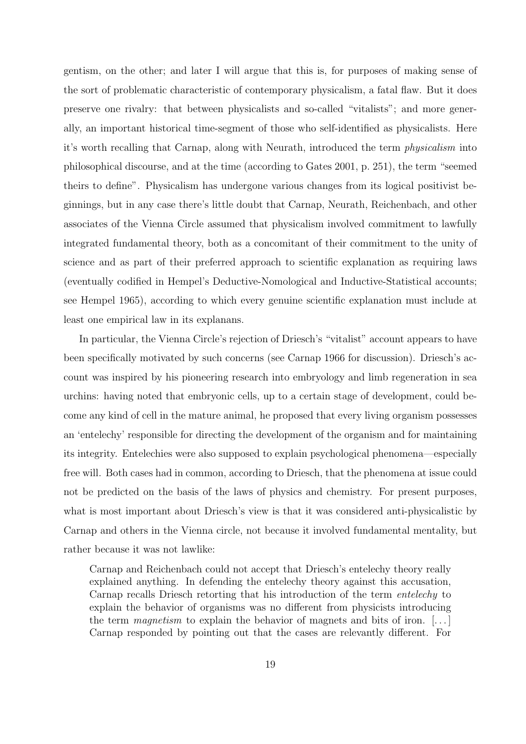gentism, on the other; and later I will argue that this is, for purposes of making sense of the sort of problematic characteristic of contemporary physicalism, a fatal flaw. But it does preserve one rivalry: that between physicalists and so-called "vitalists"; and more generally, an important historical time-segment of those who self-identified as physicalists. Here it's worth recalling that Carnap, along with Neurath, introduced the term physicalism into philosophical discourse, and at the time (according to Gates 2001, p. 251), the term "seemed theirs to define". Physicalism has undergone various changes from its logical positivist beginnings, but in any case there's little doubt that Carnap, Neurath, Reichenbach, and other associates of the Vienna Circle assumed that physicalism involved commitment to lawfully integrated fundamental theory, both as a concomitant of their commitment to the unity of science and as part of their preferred approach to scientific explanation as requiring laws (eventually codified in Hempel's Deductive-Nomological and Inductive-Statistical accounts; see Hempel 1965), according to which every genuine scientific explanation must include at least one empirical law in its explanans.

In particular, the Vienna Circle's rejection of Driesch's "vitalist" account appears to have been specifically motivated by such concerns (see Carnap 1966 for discussion). Driesch's account was inspired by his pioneering research into embryology and limb regeneration in sea urchins: having noted that embryonic cells, up to a certain stage of development, could become any kind of cell in the mature animal, he proposed that every living organism possesses an 'entelechy' responsible for directing the development of the organism and for maintaining its integrity. Entelechies were also supposed to explain psychological phenomena—especially free will. Both cases had in common, according to Driesch, that the phenomena at issue could not be predicted on the basis of the laws of physics and chemistry. For present purposes, what is most important about Driesch's view is that it was considered anti-physicalistic by Carnap and others in the Vienna circle, not because it involved fundamental mentality, but rather because it was not lawlike:

Carnap and Reichenbach could not accept that Driesch's entelechy theory really explained anything. In defending the entelechy theory against this accusation, Carnap recalls Driesch retorting that his introduction of the term entelechy to explain the behavior of organisms was no different from physicists introducing the term *magnetism* to explain the behavior of magnets and bits of iron.  $[\,\ldots\,]$ Carnap responded by pointing out that the cases are relevantly different. For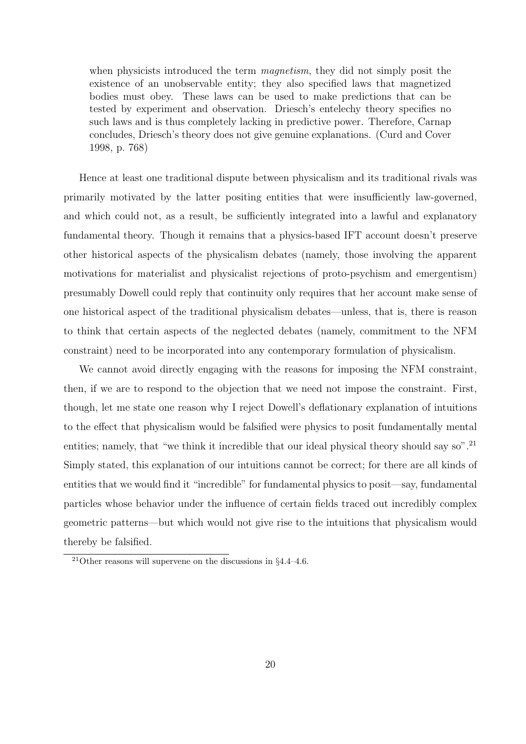when physicists introduced the term *magnetism*, they did not simply posit the existence of an unobservable entity; they also specified laws that magnetized bodies must obey. These laws can be used to make predictions that can be tested by experiment and observation. Driesch's entelechy theory specifies no such laws and is thus completely lacking in predictive power. Therefore, Carnap concludes, Driesch's theory does not give genuine explanations. (Curd and Cover 1998, p. 768)

Hence at least one traditional dispute between physicalism and its traditional rivals was primarily motivated by the latter positing entities that were insufficiently law-governed, and which could not, as a result, be sufficiently integrated into a lawful and explanatory fundamental theory. Though it remains that a physics-based IFT account doesn't preserve other historical aspects of the physicalism debates (namely, those involving the apparent motivations for materialist and physicalist rejections of proto-psychism and emergentism) presumably Dowell could reply that continuity only requires that her account make sense of one historical aspect of the traditional physicalism debates—unless, that is, there is reason to think that certain aspects of the neglected debates (namely, commitment to the NFM constraint) need to be incorporated into any contemporary formulation of physicalism.

We cannot avoid directly engaging with the reasons for imposing the NFM constraint, then, if we are to respond to the objection that we need not impose the constraint. First, though, let me state one reason why I reject Dowell's deflationary explanation of intuitions to the effect that physicalism would be falsified were physics to posit fundamentally mental entities; namely, that "we think it incredible that our ideal physical theory should say so".<sup>21</sup> Simply stated, this explanation of our intuitions cannot be correct; for there are all kinds of entities that we would find it "incredible" for fundamental physics to posit—say, fundamental particles whose behavior under the influence of certain fields traced out incredibly complex geometric patterns—but which would not give rise to the intuitions that physicalism would thereby be falsified.

<sup>&</sup>lt;sup>21</sup>Other reasons will supervene on the discussions in  $\S 4.4-4.6$ .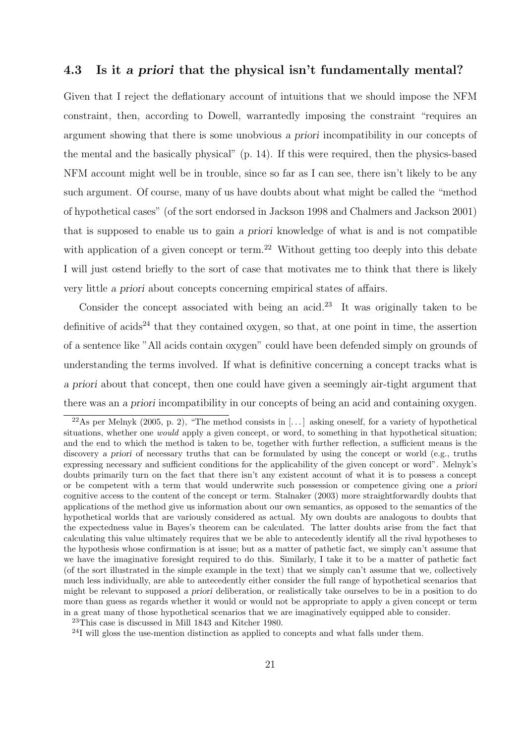### 4.3 Is it a priori that the physical isn't fundamentally mental?

Given that I reject the deflationary account of intuitions that we should impose the NFM constraint, then, according to Dowell, warrantedly imposing the constraint "requires an argument showing that there is some unobvious a priori incompatibility in our concepts of the mental and the basically physical" (p. 14). If this were required, then the physics-based NFM account might well be in trouble, since so far as I can see, there isn't likely to be any such argument. Of course, many of us have doubts about what might be called the "method of hypothetical cases" (of the sort endorsed in Jackson 1998 and Chalmers and Jackson 2001) that is supposed to enable us to gain a priori knowledge of what is and is not compatible with application of a given concept or term.<sup>22</sup> Without getting too deeply into this debate I will just ostend briefly to the sort of case that motivates me to think that there is likely very little a priori about concepts concerning empirical states of affairs.

Consider the concept associated with being an acid.<sup>23</sup> It was originally taken to be definitive of acids<sup>24</sup> that they contained oxygen, so that, at one point in time, the assertion of a sentence like "All acids contain oxygen" could have been defended simply on grounds of understanding the terms involved. If what is definitive concerning a concept tracks what is a priori about that concept, then one could have given a seemingly air-tight argument that there was an a priori incompatibility in our concepts of being an acid and containing oxygen.

 $^{22}$ As per Melnyk (2005, p. 2), "The method consists in [...] asking oneself, for a variety of hypothetical situations, whether one *would* apply a given concept, or word, to something in that hypothetical situation; and the end to which the method is taken to be, together with further reflection, a sufficient means is the discovery a priori of necessary truths that can be formulated by using the concept or world (e.g., truths expressing necessary and sufficient conditions for the applicability of the given concept or word". Melnyk's doubts primarily turn on the fact that there isn't any existent account of what it is to possess a concept or be competent with a term that would underwrite such possession or competence giving one a priori cognitive access to the content of the concept or term. Stalnaker (2003) more straightforwardly doubts that applications of the method give us information about our own semantics, as opposed to the semantics of the hypothetical worlds that are variously considered as actual. My own doubts are analogous to doubts that the expectedness value in Bayes's theorem can be calculated. The latter doubts arise from the fact that calculating this value ultimately requires that we be able to antecedently identify all the rival hypotheses to the hypothesis whose confirmation is at issue; but as a matter of pathetic fact, we simply can't assume that we have the imaginative foresight required to do this. Similarly, I take it to be a matter of pathetic fact (of the sort illustrated in the simple example in the text) that we simply can't assume that we, collectively much less individually, are able to antecedently either consider the full range of hypothetical scenarios that might be relevant to supposed a priori deliberation, or realistically take ourselves to be in a position to do more than guess as regards whether it would or would not be appropriate to apply a given concept or term in a great many of those hypothetical scenarios that we are imaginatively equipped able to consider.

<sup>23</sup>This case is discussed in Mill 1843 and Kitcher 1980.

 $^{24}$ I will gloss the use-mention distinction as applied to concepts and what falls under them.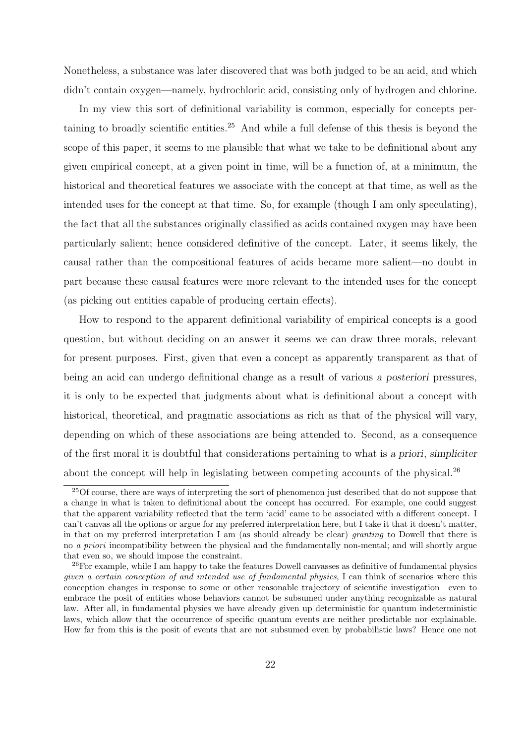Nonetheless, a substance was later discovered that was both judged to be an acid, and which didn't contain oxygen—namely, hydrochloric acid, consisting only of hydrogen and chlorine.

In my view this sort of definitional variability is common, especially for concepts pertaining to broadly scientific entities.<sup>25</sup> And while a full defense of this thesis is beyond the scope of this paper, it seems to me plausible that what we take to be definitional about any given empirical concept, at a given point in time, will be a function of, at a minimum, the historical and theoretical features we associate with the concept at that time, as well as the intended uses for the concept at that time. So, for example (though I am only speculating), the fact that all the substances originally classified as acids contained oxygen may have been particularly salient; hence considered definitive of the concept. Later, it seems likely, the causal rather than the compositional features of acids became more salient—no doubt in part because these causal features were more relevant to the intended uses for the concept (as picking out entities capable of producing certain effects).

How to respond to the apparent definitional variability of empirical concepts is a good question, but without deciding on an answer it seems we can draw three morals, relevant for present purposes. First, given that even a concept as apparently transparent as that of being an acid can undergo definitional change as a result of various a posteriori pressures, it is only to be expected that judgments about what is definitional about a concept with historical, theoretical, and pragmatic associations as rich as that of the physical will vary, depending on which of these associations are being attended to. Second, as a consequence of the first moral it is doubtful that considerations pertaining to what is a priori, simpliciter about the concept will help in legislating between competing accounts of the physical.<sup>26</sup>

<sup>&</sup>lt;sup>25</sup>Of course, there are ways of interpreting the sort of phenomenon just described that do not suppose that a change in what is taken to definitional about the concept has occurred. For example, one could suggest that the apparent variability reflected that the term 'acid' came to be associated with a different concept. I can't canvas all the options or argue for my preferred interpretation here, but I take it that it doesn't matter, in that on my preferred interpretation I am (as should already be clear) granting to Dowell that there is no a priori incompatibility between the physical and the fundamentally non-mental; and will shortly argue that even so, we should impose the constraint.

<sup>&</sup>lt;sup>26</sup>For example, while I am happy to take the features Dowell canvasses as definitive of fundamental physics given a certain conception of and intended use of fundamental physics, I can think of scenarios where this conception changes in response to some or other reasonable trajectory of scientific investigation—even to embrace the posit of entities whose behaviors cannot be subsumed under anything recognizable as natural law. After all, in fundamental physics we have already given up deterministic for quantum indeterministic laws, which allow that the occurrence of specific quantum events are neither predictable nor explainable. How far from this is the posit of events that are not subsumed even by probabilistic laws? Hence one not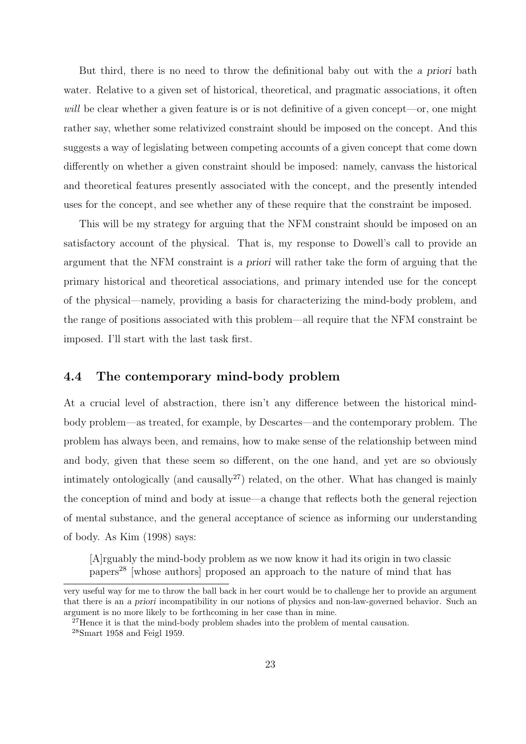But third, there is no need to throw the definitional baby out with the a priori bath water. Relative to a given set of historical, theoretical, and pragmatic associations, it often will be clear whether a given feature is or is not definitive of a given concept—or, one might rather say, whether some relativized constraint should be imposed on the concept. And this suggests a way of legislating between competing accounts of a given concept that come down differently on whether a given constraint should be imposed: namely, canvass the historical and theoretical features presently associated with the concept, and the presently intended uses for the concept, and see whether any of these require that the constraint be imposed.

This will be my strategy for arguing that the NFM constraint should be imposed on an satisfactory account of the physical. That is, my response to Dowell's call to provide an argument that the NFM constraint is a priori will rather take the form of arguing that the primary historical and theoretical associations, and primary intended use for the concept of the physical—namely, providing a basis for characterizing the mind-body problem, and the range of positions associated with this problem—all require that the NFM constraint be imposed. I'll start with the last task first.

### 4.4 The contemporary mind-body problem

At a crucial level of abstraction, there isn't any difference between the historical mindbody problem—as treated, for example, by Descartes—and the contemporary problem. The problem has always been, and remains, how to make sense of the relationship between mind and body, given that these seem so different, on the one hand, and yet are so obviously intimately ontologically (and causally<sup>27</sup>) related, on the other. What has changed is mainly the conception of mind and body at issue—a change that reflects both the general rejection of mental substance, and the general acceptance of science as informing our understanding of body. As Kim (1998) says:

[A]rguably the mind-body problem as we now know it had its origin in two classic papers<sup>28</sup> [whose authors] proposed an approach to the nature of mind that has

very useful way for me to throw the ball back in her court would be to challenge her to provide an argument that there is an a priori incompatibility in our notions of physics and non-law-governed behavior. Such an argument is no more likely to be forthcoming in her case than in mine.

<sup>&</sup>lt;sup>27</sup>Hence it is that the mind-body problem shades into the problem of mental causation.

<sup>28</sup>Smart 1958 and Feigl 1959.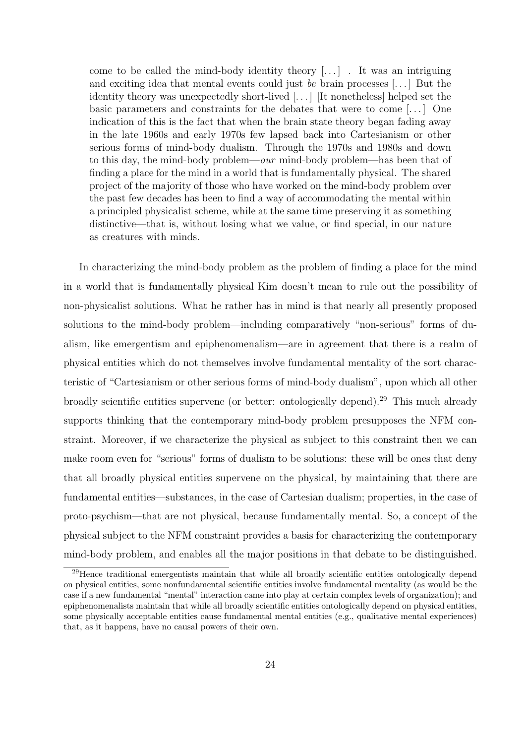come to be called the mind-body identity theory  $[\,\ldots\,]$ . It was an intriguing and exciting idea that mental events could just be brain processes [. . . ] But the identity theory was unexpectedly short-lived [. . . ] [It nonetheless] helped set the basic parameters and constraints for the debates that were to come [. . . ] One indication of this is the fact that when the brain state theory began fading away in the late 1960s and early 1970s few lapsed back into Cartesianism or other serious forms of mind-body dualism. Through the 1970s and 1980s and down to this day, the mind-body problem—our mind-body problem—has been that of finding a place for the mind in a world that is fundamentally physical. The shared project of the majority of those who have worked on the mind-body problem over the past few decades has been to find a way of accommodating the mental within a principled physicalist scheme, while at the same time preserving it as something distinctive—that is, without losing what we value, or find special, in our nature as creatures with minds.

In characterizing the mind-body problem as the problem of finding a place for the mind in a world that is fundamentally physical Kim doesn't mean to rule out the possibility of non-physicalist solutions. What he rather has in mind is that nearly all presently proposed solutions to the mind-body problem—including comparatively "non-serious" forms of dualism, like emergentism and epiphenomenalism—are in agreement that there is a realm of physical entities which do not themselves involve fundamental mentality of the sort characteristic of "Cartesianism or other serious forms of mind-body dualism", upon which all other broadly scientific entities supervene (or better: ontologically depend).<sup>29</sup> This much already supports thinking that the contemporary mind-body problem presupposes the NFM constraint. Moreover, if we characterize the physical as subject to this constraint then we can make room even for "serious" forms of dualism to be solutions: these will be ones that deny that all broadly physical entities supervene on the physical, by maintaining that there are fundamental entities—substances, in the case of Cartesian dualism; properties, in the case of proto-psychism—that are not physical, because fundamentally mental. So, a concept of the physical subject to the NFM constraint provides a basis for characterizing the contemporary mind-body problem, and enables all the major positions in that debate to be distinguished.

<sup>&</sup>lt;sup>29</sup>Hence traditional emergentists maintain that while all broadly scientific entities ontologically depend on physical entities, some nonfundamental scientific entities involve fundamental mentality (as would be the case if a new fundamental "mental" interaction came into play at certain complex levels of organization); and epiphenomenalists maintain that while all broadly scientific entities ontologically depend on physical entities, some physically acceptable entities cause fundamental mental entities (e.g., qualitative mental experiences) that, as it happens, have no causal powers of their own.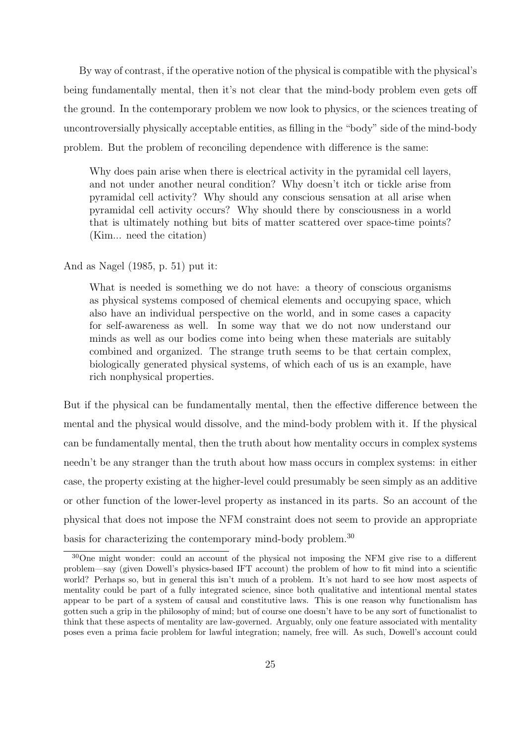By way of contrast, if the operative notion of the physical is compatible with the physical's being fundamentally mental, then it's not clear that the mind-body problem even gets off the ground. In the contemporary problem we now look to physics, or the sciences treating of uncontroversially physically acceptable entities, as filling in the "body" side of the mind-body problem. But the problem of reconciling dependence with difference is the same:

Why does pain arise when there is electrical activity in the pyramidal cell layers, and not under another neural condition? Why doesn't itch or tickle arise from pyramidal cell activity? Why should any conscious sensation at all arise when pyramidal cell activity occurs? Why should there by consciousness in a world that is ultimately nothing but bits of matter scattered over space-time points? (Kim... need the citation)

And as Nagel (1985, p. 51) put it:

What is needed is something we do not have: a theory of conscious organisms as physical systems composed of chemical elements and occupying space, which also have an individual perspective on the world, and in some cases a capacity for self-awareness as well. In some way that we do not now understand our minds as well as our bodies come into being when these materials are suitably combined and organized. The strange truth seems to be that certain complex, biologically generated physical systems, of which each of us is an example, have rich nonphysical properties.

But if the physical can be fundamentally mental, then the effective difference between the mental and the physical would dissolve, and the mind-body problem with it. If the physical can be fundamentally mental, then the truth about how mentality occurs in complex systems needn't be any stranger than the truth about how mass occurs in complex systems: in either case, the property existing at the higher-level could presumably be seen simply as an additive or other function of the lower-level property as instanced in its parts. So an account of the physical that does not impose the NFM constraint does not seem to provide an appropriate basis for characterizing the contemporary mind-body problem.<sup>30</sup>

<sup>30</sup>One might wonder: could an account of the physical not imposing the NFM give rise to a different problem—say (given Dowell's physics-based IFT account) the problem of how to fit mind into a scientific world? Perhaps so, but in general this isn't much of a problem. It's not hard to see how most aspects of mentality could be part of a fully integrated science, since both qualitative and intentional mental states appear to be part of a system of causal and constitutive laws. This is one reason why functionalism has gotten such a grip in the philosophy of mind; but of course one doesn't have to be any sort of functionalist to think that these aspects of mentality are law-governed. Arguably, only one feature associated with mentality poses even a prima facie problem for lawful integration; namely, free will. As such, Dowell's account could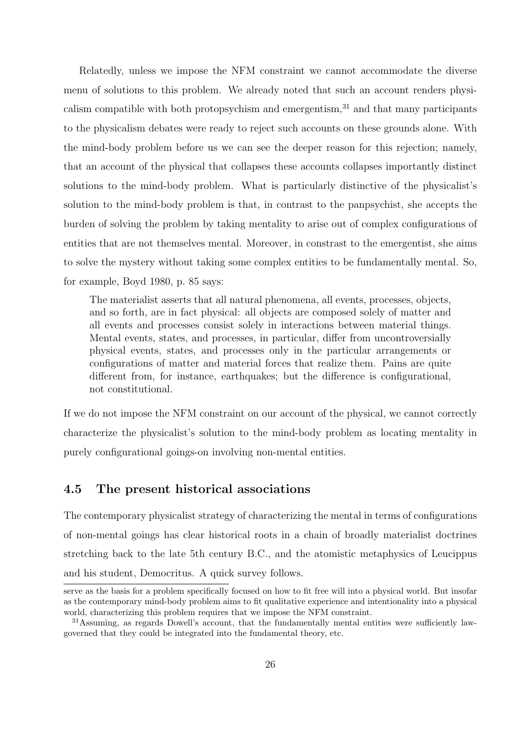Relatedly, unless we impose the NFM constraint we cannot accommodate the diverse menu of solutions to this problem. We already noted that such an account renders physicalism compatible with both protopsychism and emergentism, $31$  and that many participants to the physicalism debates were ready to reject such accounts on these grounds alone. With the mind-body problem before us we can see the deeper reason for this rejection; namely, that an account of the physical that collapses these accounts collapses importantly distinct solutions to the mind-body problem. What is particularly distinctive of the physicalist's solution to the mind-body problem is that, in contrast to the panpsychist, she accepts the burden of solving the problem by taking mentality to arise out of complex configurations of entities that are not themselves mental. Moreover, in constrast to the emergentist, she aims to solve the mystery without taking some complex entities to be fundamentally mental. So, for example, Boyd 1980, p. 85 says:

The materialist asserts that all natural phenomena, all events, processes, objects, and so forth, are in fact physical: all objects are composed solely of matter and all events and processes consist solely in interactions between material things. Mental events, states, and processes, in particular, differ from uncontroversially physical events, states, and processes only in the particular arrangements or configurations of matter and material forces that realize them. Pains are quite different from, for instance, earthquakes; but the difference is configurational, not constitutional.

If we do not impose the NFM constraint on our account of the physical, we cannot correctly characterize the physicalist's solution to the mind-body problem as locating mentality in purely configurational goings-on involving non-mental entities.

### 4.5 The present historical associations

The contemporary physicalist strategy of characterizing the mental in terms of configurations of non-mental goings has clear historical roots in a chain of broadly materialist doctrines stretching back to the late 5th century B.C., and the atomistic metaphysics of Leucippus and his student, Democritus. A quick survey follows.

serve as the basis for a problem specifically focused on how to fit free will into a physical world. But insofar as the contemporary mind-body problem aims to fit qualitative experience and intentionality into a physical world, characterizing this problem requires that we impose the NFM constraint.

<sup>&</sup>lt;sup>31</sup>Assuming, as regards Dowell's account, that the fundamentally mental entities were sufficiently lawgoverned that they could be integrated into the fundamental theory, etc.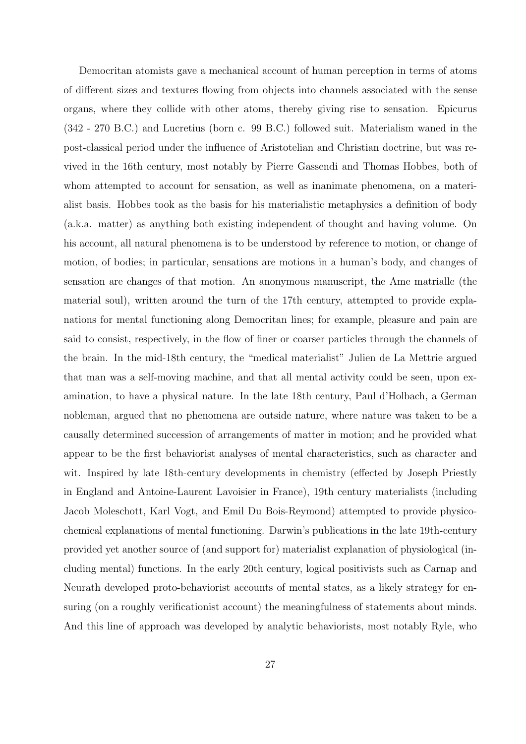Democritan atomists gave a mechanical account of human perception in terms of atoms of different sizes and textures flowing from objects into channels associated with the sense organs, where they collide with other atoms, thereby giving rise to sensation. Epicurus (342 - 270 B.C.) and Lucretius (born c. 99 B.C.) followed suit. Materialism waned in the post-classical period under the influence of Aristotelian and Christian doctrine, but was revived in the 16th century, most notably by Pierre Gassendi and Thomas Hobbes, both of whom attempted to account for sensation, as well as inanimate phenomena, on a materialist basis. Hobbes took as the basis for his materialistic metaphysics a definition of body (a.k.a. matter) as anything both existing independent of thought and having volume. On his account, all natural phenomena is to be understood by reference to motion, or change of motion, of bodies; in particular, sensations are motions in a human's body, and changes of sensation are changes of that motion. An anonymous manuscript, the Ame matrialle (the material soul), written around the turn of the 17th century, attempted to provide explanations for mental functioning along Democritan lines; for example, pleasure and pain are said to consist, respectively, in the flow of finer or coarser particles through the channels of the brain. In the mid-18th century, the "medical materialist" Julien de La Mettrie argued that man was a self-moving machine, and that all mental activity could be seen, upon examination, to have a physical nature. In the late 18th century, Paul d'Holbach, a German nobleman, argued that no phenomena are outside nature, where nature was taken to be a causally determined succession of arrangements of matter in motion; and he provided what appear to be the first behaviorist analyses of mental characteristics, such as character and wit. Inspired by late 18th-century developments in chemistry (effected by Joseph Priestly in England and Antoine-Laurent Lavoisier in France), 19th century materialists (including Jacob Moleschott, Karl Vogt, and Emil Du Bois-Reymond) attempted to provide physicochemical explanations of mental functioning. Darwin's publications in the late 19th-century provided yet another source of (and support for) materialist explanation of physiological (including mental) functions. In the early 20th century, logical positivists such as Carnap and Neurath developed proto-behaviorist accounts of mental states, as a likely strategy for ensuring (on a roughly verificationist account) the meaningfulness of statements about minds. And this line of approach was developed by analytic behaviorists, most notably Ryle, who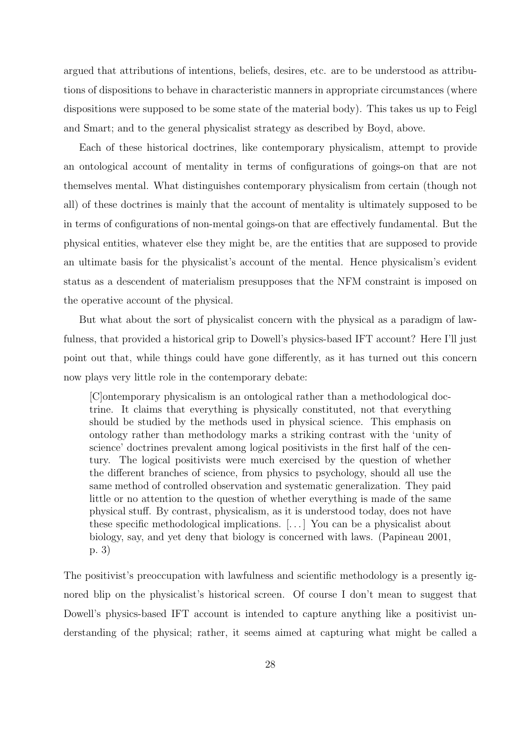argued that attributions of intentions, beliefs, desires, etc. are to be understood as attributions of dispositions to behave in characteristic manners in appropriate circumstances (where dispositions were supposed to be some state of the material body). This takes us up to Feigl and Smart; and to the general physicalist strategy as described by Boyd, above.

Each of these historical doctrines, like contemporary physicalism, attempt to provide an ontological account of mentality in terms of configurations of goings-on that are not themselves mental. What distinguishes contemporary physicalism from certain (though not all) of these doctrines is mainly that the account of mentality is ultimately supposed to be in terms of configurations of non-mental goings-on that are effectively fundamental. But the physical entities, whatever else they might be, are the entities that are supposed to provide an ultimate basis for the physicalist's account of the mental. Hence physicalism's evident status as a descendent of materialism presupposes that the NFM constraint is imposed on the operative account of the physical.

But what about the sort of physicalist concern with the physical as a paradigm of lawfulness, that provided a historical grip to Dowell's physics-based IFT account? Here I'll just point out that, while things could have gone differently, as it has turned out this concern now plays very little role in the contemporary debate:

[C]ontemporary physicalism is an ontological rather than a methodological doctrine. It claims that everything is physically constituted, not that everything should be studied by the methods used in physical science. This emphasis on ontology rather than methodology marks a striking contrast with the 'unity of science' doctrines prevalent among logical positivists in the first half of the century. The logical positivists were much exercised by the question of whether the different branches of science, from physics to psychology, should all use the same method of controlled observation and systematic generalization. They paid little or no attention to the question of whether everything is made of the same physical stuff. By contrast, physicalism, as it is understood today, does not have these specific methodological implications. [. . . ] You can be a physicalist about biology, say, and yet deny that biology is concerned with laws. (Papineau 2001, p. 3)

The positivist's preoccupation with lawfulness and scientific methodology is a presently ignored blip on the physicalist's historical screen. Of course I don't mean to suggest that Dowell's physics-based IFT account is intended to capture anything like a positivist understanding of the physical; rather, it seems aimed at capturing what might be called a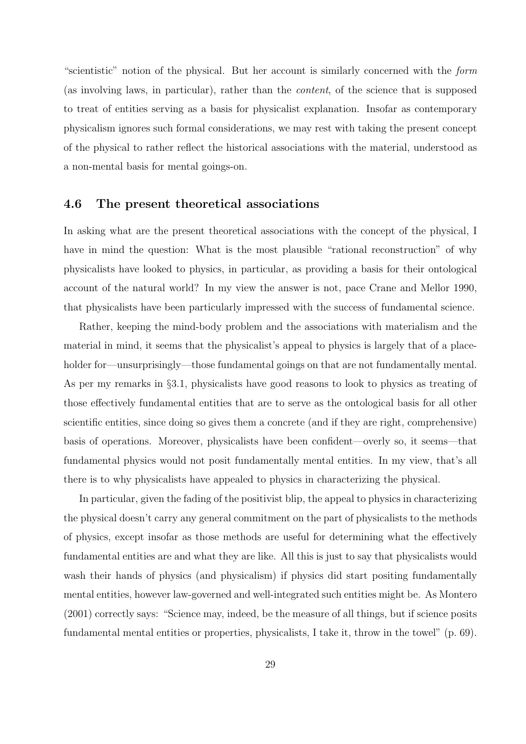"scientistic" notion of the physical. But her account is similarly concerned with the form (as involving laws, in particular), rather than the content, of the science that is supposed to treat of entities serving as a basis for physicalist explanation. Insofar as contemporary physicalism ignores such formal considerations, we may rest with taking the present concept of the physical to rather reflect the historical associations with the material, understood as a non-mental basis for mental goings-on.

### 4.6 The present theoretical associations

In asking what are the present theoretical associations with the concept of the physical, I have in mind the question: What is the most plausible "rational reconstruction" of why physicalists have looked to physics, in particular, as providing a basis for their ontological account of the natural world? In my view the answer is not, pace Crane and Mellor 1990, that physicalists have been particularly impressed with the success of fundamental science.

Rather, keeping the mind-body problem and the associations with materialism and the material in mind, it seems that the physicalist's appeal to physics is largely that of a placeholder for—unsurprisingly—those fundamental goings on that are not fundamentally mental. As per my remarks in §3.1, physicalists have good reasons to look to physics as treating of those effectively fundamental entities that are to serve as the ontological basis for all other scientific entities, since doing so gives them a concrete (and if they are right, comprehensive) basis of operations. Moreover, physicalists have been confident—overly so, it seems—that fundamental physics would not posit fundamentally mental entities. In my view, that's all there is to why physicalists have appealed to physics in characterizing the physical.

In particular, given the fading of the positivist blip, the appeal to physics in characterizing the physical doesn't carry any general commitment on the part of physicalists to the methods of physics, except insofar as those methods are useful for determining what the effectively fundamental entities are and what they are like. All this is just to say that physicalists would wash their hands of physics (and physicalism) if physics did start positing fundamentally mental entities, however law-governed and well-integrated such entities might be. As Montero (2001) correctly says: "Science may, indeed, be the measure of all things, but if science posits fundamental mental entities or properties, physicalists, I take it, throw in the towel" (p. 69).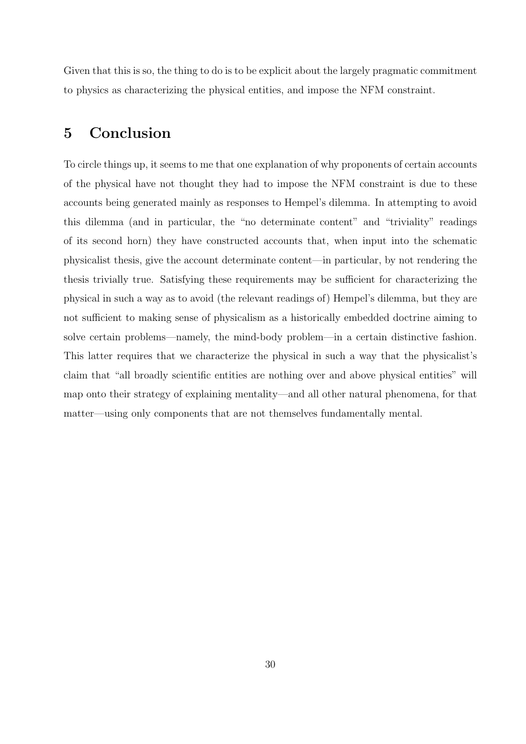Given that this is so, the thing to do is to be explicit about the largely pragmatic commitment to physics as characterizing the physical entities, and impose the NFM constraint.

## 5 Conclusion

To circle things up, it seems to me that one explanation of why proponents of certain accounts of the physical have not thought they had to impose the NFM constraint is due to these accounts being generated mainly as responses to Hempel's dilemma. In attempting to avoid this dilemma (and in particular, the "no determinate content" and "triviality" readings of its second horn) they have constructed accounts that, when input into the schematic physicalist thesis, give the account determinate content—in particular, by not rendering the thesis trivially true. Satisfying these requirements may be sufficient for characterizing the physical in such a way as to avoid (the relevant readings of) Hempel's dilemma, but they are not sufficient to making sense of physicalism as a historically embedded doctrine aiming to solve certain problems—namely, the mind-body problem—in a certain distinctive fashion. This latter requires that we characterize the physical in such a way that the physicalist's claim that "all broadly scientific entities are nothing over and above physical entities" will map onto their strategy of explaining mentality—and all other natural phenomena, for that matter—using only components that are not themselves fundamentally mental.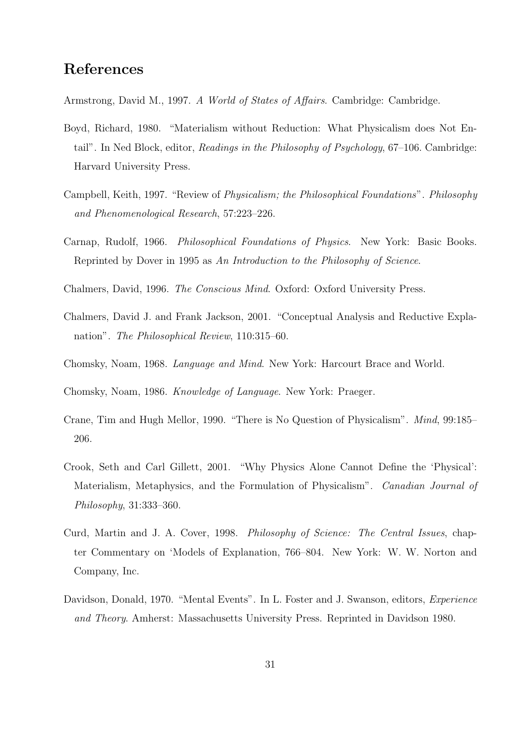## References

Armstrong, David M., 1997. A World of States of Affairs. Cambridge: Cambridge.

- Boyd, Richard, 1980. "Materialism without Reduction: What Physicalism does Not Entail". In Ned Block, editor, Readings in the Philosophy of Psychology, 67–106. Cambridge: Harvard University Press.
- Campbell, Keith, 1997. "Review of Physicalism; the Philosophical Foundations". Philosophy and Phenomenological Research, 57:223–226.
- Carnap, Rudolf, 1966. Philosophical Foundations of Physics. New York: Basic Books. Reprinted by Dover in 1995 as An Introduction to the Philosophy of Science.
- Chalmers, David, 1996. The Conscious Mind. Oxford: Oxford University Press.
- Chalmers, David J. and Frank Jackson, 2001. "Conceptual Analysis and Reductive Explanation". The Philosophical Review, 110:315–60.
- Chomsky, Noam, 1968. Language and Mind. New York: Harcourt Brace and World.

Chomsky, Noam, 1986. Knowledge of Language. New York: Praeger.

- Crane, Tim and Hugh Mellor, 1990. "There is No Question of Physicalism". Mind, 99:185– 206.
- Crook, Seth and Carl Gillett, 2001. "Why Physics Alone Cannot Define the 'Physical': Materialism, Metaphysics, and the Formulation of Physicalism". Canadian Journal of Philosophy, 31:333–360.
- Curd, Martin and J. A. Cover, 1998. Philosophy of Science: The Central Issues, chapter Commentary on 'Models of Explanation, 766–804. New York: W. W. Norton and Company, Inc.
- Davidson, Donald, 1970. "Mental Events". In L. Foster and J. Swanson, editors, Experience and Theory. Amherst: Massachusetts University Press. Reprinted in Davidson 1980.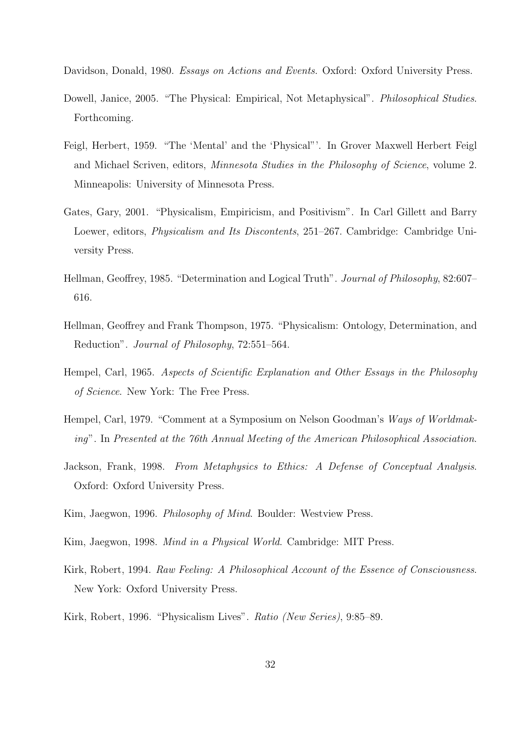Davidson, Donald, 1980. Essays on Actions and Events. Oxford: Oxford University Press.

- Dowell, Janice, 2005. "The Physical: Empirical, Not Metaphysical". *Philosophical Studies.* Forthcoming.
- Feigl, Herbert, 1959. "The 'Mental' and the 'Physical"'. In Grover Maxwell Herbert Feigl and Michael Scriven, editors, Minnesota Studies in the Philosophy of Science, volume 2. Minneapolis: University of Minnesota Press.
- Gates, Gary, 2001. "Physicalism, Empiricism, and Positivism". In Carl Gillett and Barry Loewer, editors, Physicalism and Its Discontents, 251–267. Cambridge: Cambridge University Press.
- Hellman, Geoffrey, 1985. "Determination and Logical Truth". Journal of Philosophy, 82:607– 616.
- Hellman, Geoffrey and Frank Thompson, 1975. "Physicalism: Ontology, Determination, and Reduction". Journal of Philosophy, 72:551–564.
- Hempel, Carl, 1965. Aspects of Scientific Explanation and Other Essays in the Philosophy of Science. New York: The Free Press.
- Hempel, Carl, 1979. "Comment at a Symposium on Nelson Goodman's Ways of Worldmaking". In Presented at the 76th Annual Meeting of the American Philosophical Association.
- Jackson, Frank, 1998. From Metaphysics to Ethics: A Defense of Conceptual Analysis. Oxford: Oxford University Press.
- Kim, Jaegwon, 1996. Philosophy of Mind. Boulder: Westview Press.
- Kim, Jaegwon, 1998. Mind in a Physical World. Cambridge: MIT Press.
- Kirk, Robert, 1994. Raw Feeling: A Philosophical Account of the Essence of Consciousness. New York: Oxford University Press.
- Kirk, Robert, 1996. "Physicalism Lives". Ratio (New Series), 9:85–89.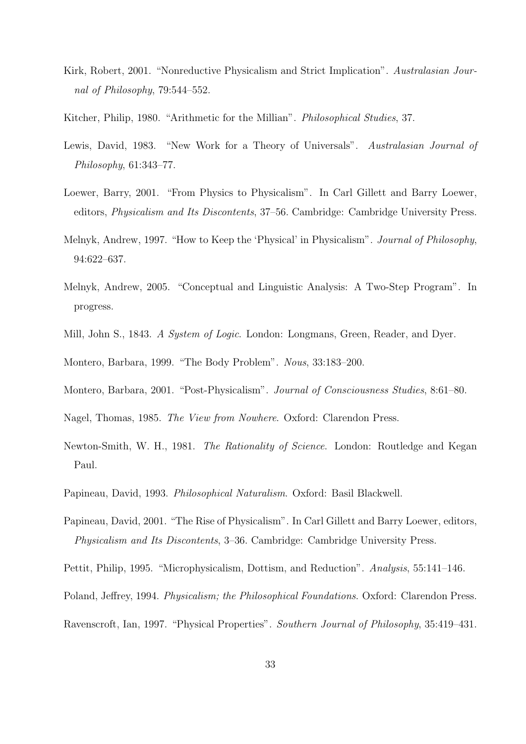- Kirk, Robert, 2001. "Nonreductive Physicalism and Strict Implication". Australasian Journal of Philosophy, 79:544–552.
- Kitcher, Philip, 1980. "Arithmetic for the Millian". Philosophical Studies, 37.
- Lewis, David, 1983. "New Work for a Theory of Universals". Australasian Journal of Philosophy, 61:343–77.
- Loewer, Barry, 2001. "From Physics to Physicalism". In Carl Gillett and Barry Loewer, editors, Physicalism and Its Discontents, 37–56. Cambridge: Cambridge University Press.
- Melnyk, Andrew, 1997. "How to Keep the 'Physical' in Physicalism". Journal of Philosophy, 94:622–637.
- Melnyk, Andrew, 2005. "Conceptual and Linguistic Analysis: A Two-Step Program". In progress.
- Mill, John S., 1843. A System of Logic. London: Longmans, Green, Reader, and Dyer.

Montero, Barbara, 1999. "The Body Problem". Nous, 33:183–200.

- Montero, Barbara, 2001. "Post-Physicalism". Journal of Consciousness Studies, 8:61–80.
- Nagel, Thomas, 1985. The View from Nowhere. Oxford: Clarendon Press.
- Newton-Smith, W. H., 1981. The Rationality of Science. London: Routledge and Kegan Paul.
- Papineau, David, 1993. Philosophical Naturalism. Oxford: Basil Blackwell.
- Papineau, David, 2001. "The Rise of Physicalism". In Carl Gillett and Barry Loewer, editors, Physicalism and Its Discontents, 3–36. Cambridge: Cambridge University Press.
- Pettit, Philip, 1995. "Microphysicalism, Dottism, and Reduction". Analysis, 55:141–146.
- Poland, Jeffrey, 1994. Physicalism; the Philosophical Foundations. Oxford: Clarendon Press.
- Ravenscroft, Ian, 1997. "Physical Properties". Southern Journal of Philosophy, 35:419–431.